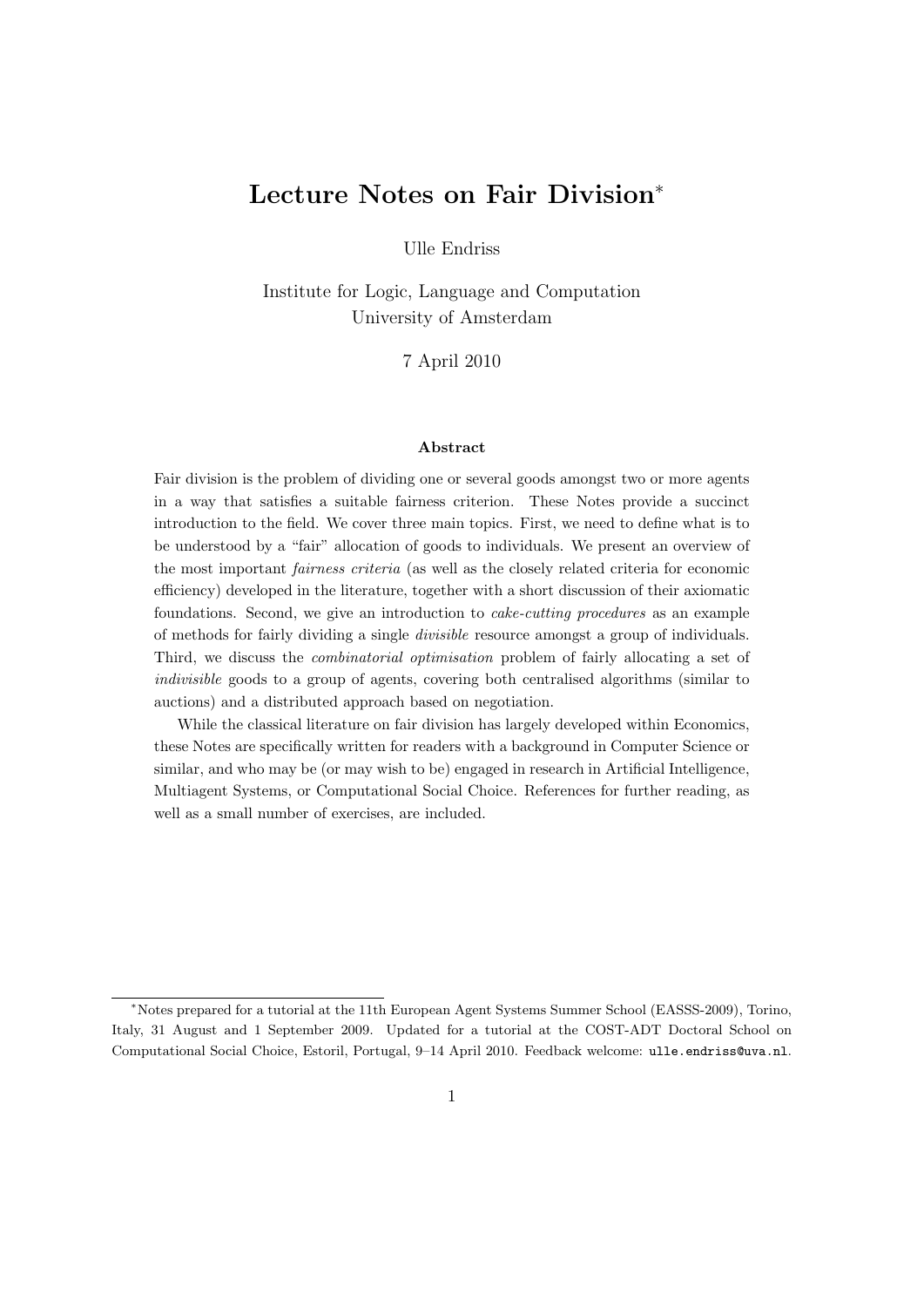# Lecture Notes on Fair Division<sup>∗</sup>

Ulle Endriss

Institute for Logic, Language and Computation University of Amsterdam

7 April 2010

#### Abstract

Fair division is the problem of dividing one or several goods amongst two or more agents in a way that satisfies a suitable fairness criterion. These Notes provide a succinct introduction to the field. We cover three main topics. First, we need to define what is to be understood by a "fair" allocation of goods to individuals. We present an overview of the most important fairness criteria (as well as the closely related criteria for economic efficiency) developed in the literature, together with a short discussion of their axiomatic foundations. Second, we give an introduction to cake-cutting procedures as an example of methods for fairly dividing a single divisible resource amongst a group of individuals. Third, we discuss the combinatorial optimisation problem of fairly allocating a set of indivisible goods to a group of agents, covering both centralised algorithms (similar to auctions) and a distributed approach based on negotiation.

While the classical literature on fair division has largely developed within Economics, these Notes are specifically written for readers with a background in Computer Science or similar, and who may be (or may wish to be) engaged in research in Artificial Intelligence, Multiagent Systems, or Computational Social Choice. References for further reading, as well as a small number of exercises, are included.

<sup>∗</sup>Notes prepared for a tutorial at the 11th European Agent Systems Summer School (EASSS-2009), Torino, Italy, 31 August and 1 September 2009. Updated for a tutorial at the COST-ADT Doctoral School on Computational Social Choice, Estoril, Portugal, 9–14 April 2010. Feedback welcome: ulle.endriss@uva.nl.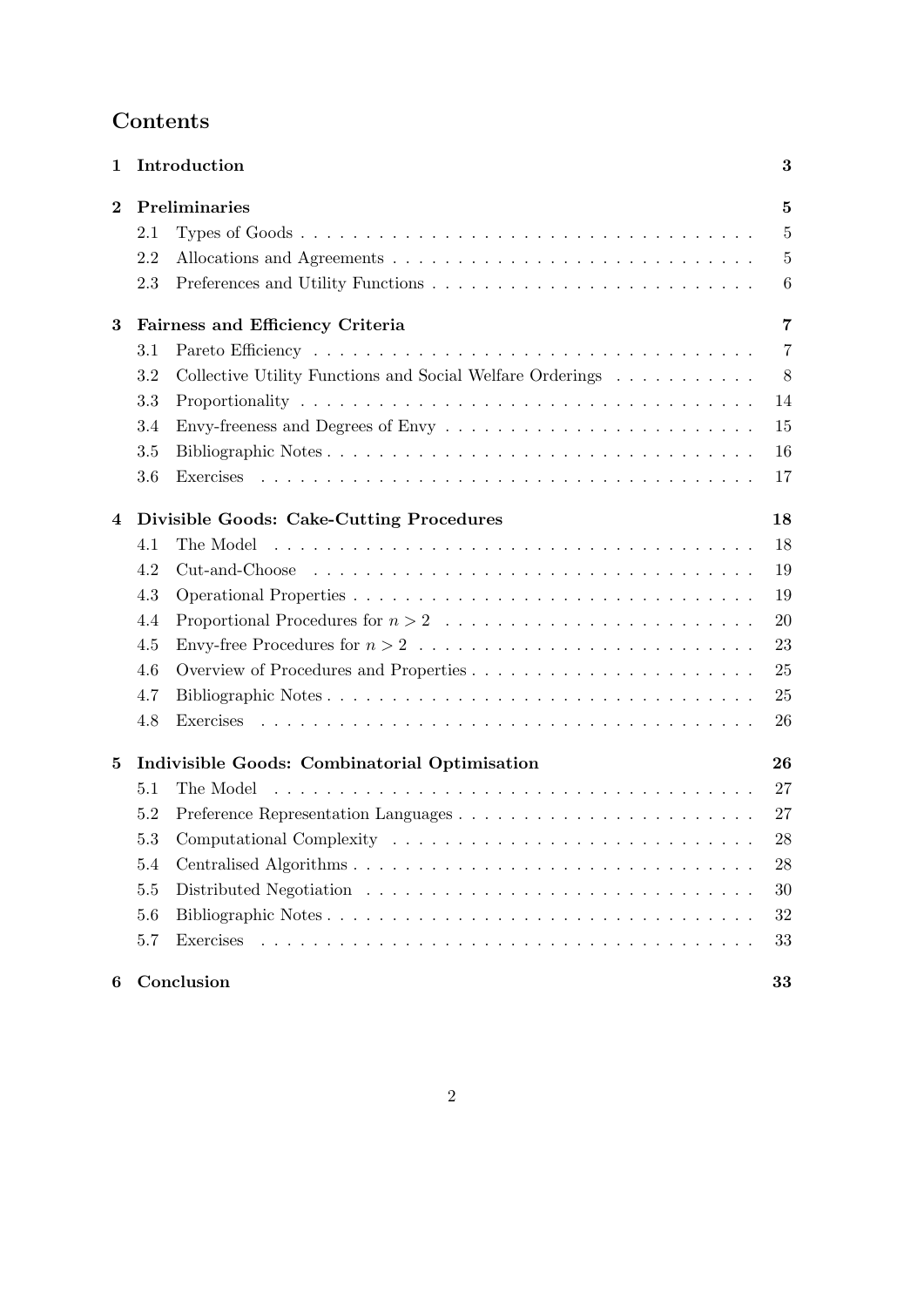# Contents

| $\mathbf{1}$ |                                                     | Introduction                                              | 3               |  |  |  |  |  |
|--------------|-----------------------------------------------------|-----------------------------------------------------------|-----------------|--|--|--|--|--|
| $\bf{2}$     | Preliminaries                                       |                                                           |                 |  |  |  |  |  |
|              | 2.1                                                 |                                                           | $\overline{5}$  |  |  |  |  |  |
|              | 2.2                                                 |                                                           | $\overline{5}$  |  |  |  |  |  |
|              | 2.3                                                 |                                                           | $6\phantom{.}6$ |  |  |  |  |  |
| 3            | Fairness and Efficiency Criteria<br>7               |                                                           |                 |  |  |  |  |  |
|              | 3.1                                                 |                                                           | $\overline{7}$  |  |  |  |  |  |
|              | 3.2                                                 | Collective Utility Functions and Social Welfare Orderings | 8               |  |  |  |  |  |
|              | 3.3                                                 |                                                           | 14              |  |  |  |  |  |
|              | 3.4                                                 |                                                           | 15              |  |  |  |  |  |
|              | 3.5                                                 |                                                           | 16              |  |  |  |  |  |
|              | 3.6                                                 |                                                           | 17              |  |  |  |  |  |
| 4            | Divisible Goods: Cake-Cutting Procedures<br>18      |                                                           |                 |  |  |  |  |  |
|              | 4.1                                                 |                                                           | 18              |  |  |  |  |  |
|              | 4.2                                                 |                                                           | 19              |  |  |  |  |  |
|              | 4.3                                                 |                                                           | 19              |  |  |  |  |  |
|              | 4.4                                                 |                                                           | 20              |  |  |  |  |  |
|              | 4.5                                                 |                                                           | 23              |  |  |  |  |  |
|              | 4.6                                                 | Overview of Procedures and Properties                     | 25              |  |  |  |  |  |
|              | 4.7                                                 |                                                           | 25              |  |  |  |  |  |
|              | 4.8                                                 |                                                           | 26              |  |  |  |  |  |
| 5            | Indivisible Goods: Combinatorial Optimisation<br>26 |                                                           |                 |  |  |  |  |  |
|              | 5.1                                                 |                                                           | 27              |  |  |  |  |  |
|              | 5.2                                                 |                                                           | 27              |  |  |  |  |  |
|              | 5.3                                                 |                                                           | 28              |  |  |  |  |  |
|              | 5.4                                                 |                                                           | 28              |  |  |  |  |  |
|              | 5.5                                                 |                                                           | 30              |  |  |  |  |  |
|              | 5.6                                                 |                                                           | 32              |  |  |  |  |  |
|              | 5.7                                                 |                                                           | 33              |  |  |  |  |  |
| 6            |                                                     | Conclusion                                                | 33              |  |  |  |  |  |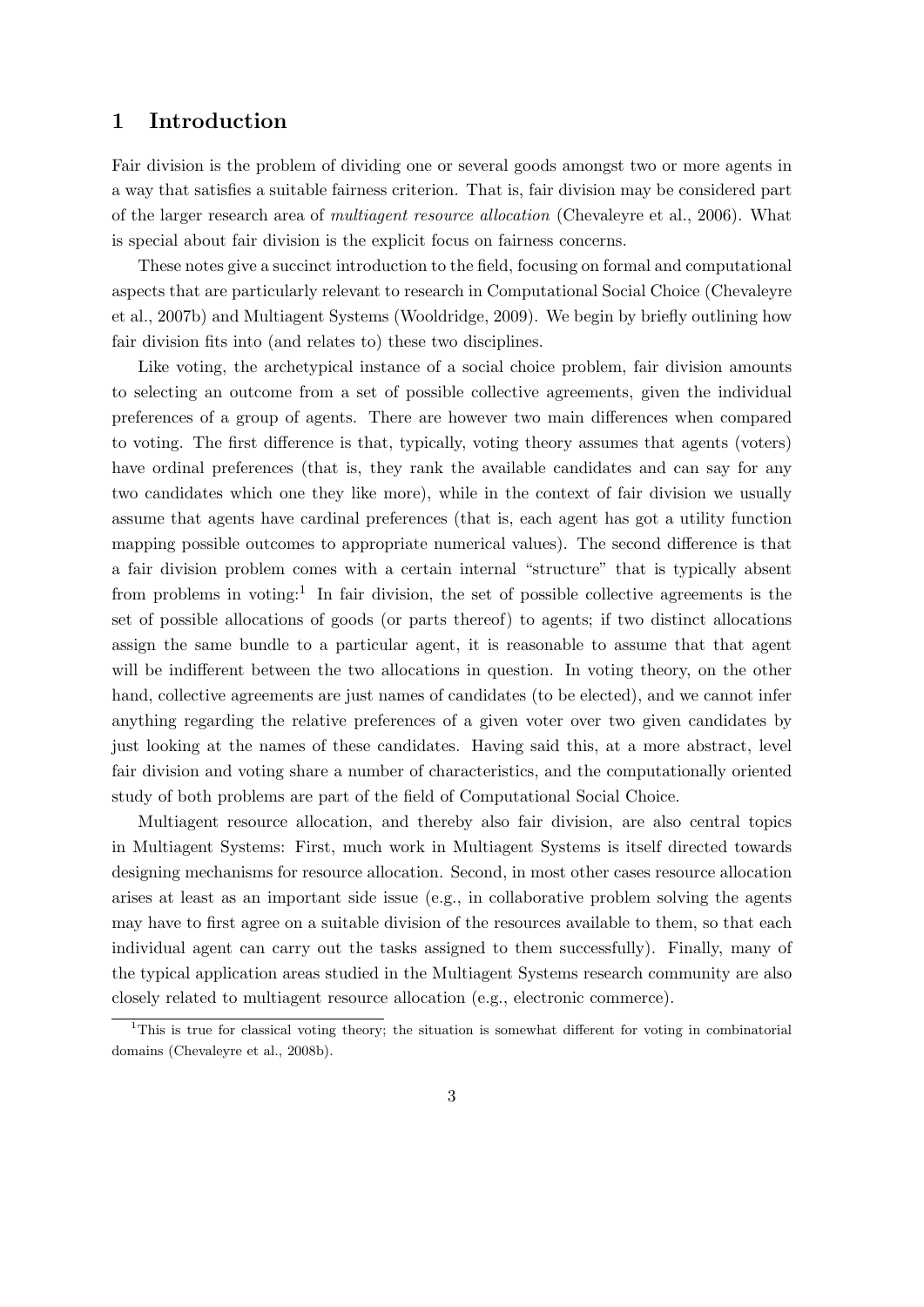# 1 Introduction

Fair division is the problem of dividing one or several goods amongst two or more agents in a way that satisfies a suitable fairness criterion. That is, fair division may be considered part of the larger research area of multiagent resource allocation (Chevaleyre et al., 2006). What is special about fair division is the explicit focus on fairness concerns.

These notes give a succinct introduction to the field, focusing on formal and computational aspects that are particularly relevant to research in Computational Social Choice (Chevaleyre et al., 2007b) and Multiagent Systems (Wooldridge, 2009). We begin by briefly outlining how fair division fits into (and relates to) these two disciplines.

Like voting, the archetypical instance of a social choice problem, fair division amounts to selecting an outcome from a set of possible collective agreements, given the individual preferences of a group of agents. There are however two main differences when compared to voting. The first difference is that, typically, voting theory assumes that agents (voters) have ordinal preferences (that is, they rank the available candidates and can say for any two candidates which one they like more), while in the context of fair division we usually assume that agents have cardinal preferences (that is, each agent has got a utility function mapping possible outcomes to appropriate numerical values). The second difference is that a fair division problem comes with a certain internal "structure" that is typically absent from problems in voting:<sup>1</sup> In fair division, the set of possible collective agreements is the set of possible allocations of goods (or parts thereof) to agents; if two distinct allocations assign the same bundle to a particular agent, it is reasonable to assume that that agent will be indifferent between the two allocations in question. In voting theory, on the other hand, collective agreements are just names of candidates (to be elected), and we cannot infer anything regarding the relative preferences of a given voter over two given candidates by just looking at the names of these candidates. Having said this, at a more abstract, level fair division and voting share a number of characteristics, and the computationally oriented study of both problems are part of the field of Computational Social Choice.

Multiagent resource allocation, and thereby also fair division, are also central topics in Multiagent Systems: First, much work in Multiagent Systems is itself directed towards designing mechanisms for resource allocation. Second, in most other cases resource allocation arises at least as an important side issue (e.g., in collaborative problem solving the agents may have to first agree on a suitable division of the resources available to them, so that each individual agent can carry out the tasks assigned to them successfully). Finally, many of the typical application areas studied in the Multiagent Systems research community are also closely related to multiagent resource allocation (e.g., electronic commerce).

 $1$ This is true for classical voting theory; the situation is somewhat different for voting in combinatorial domains (Chevaleyre et al., 2008b).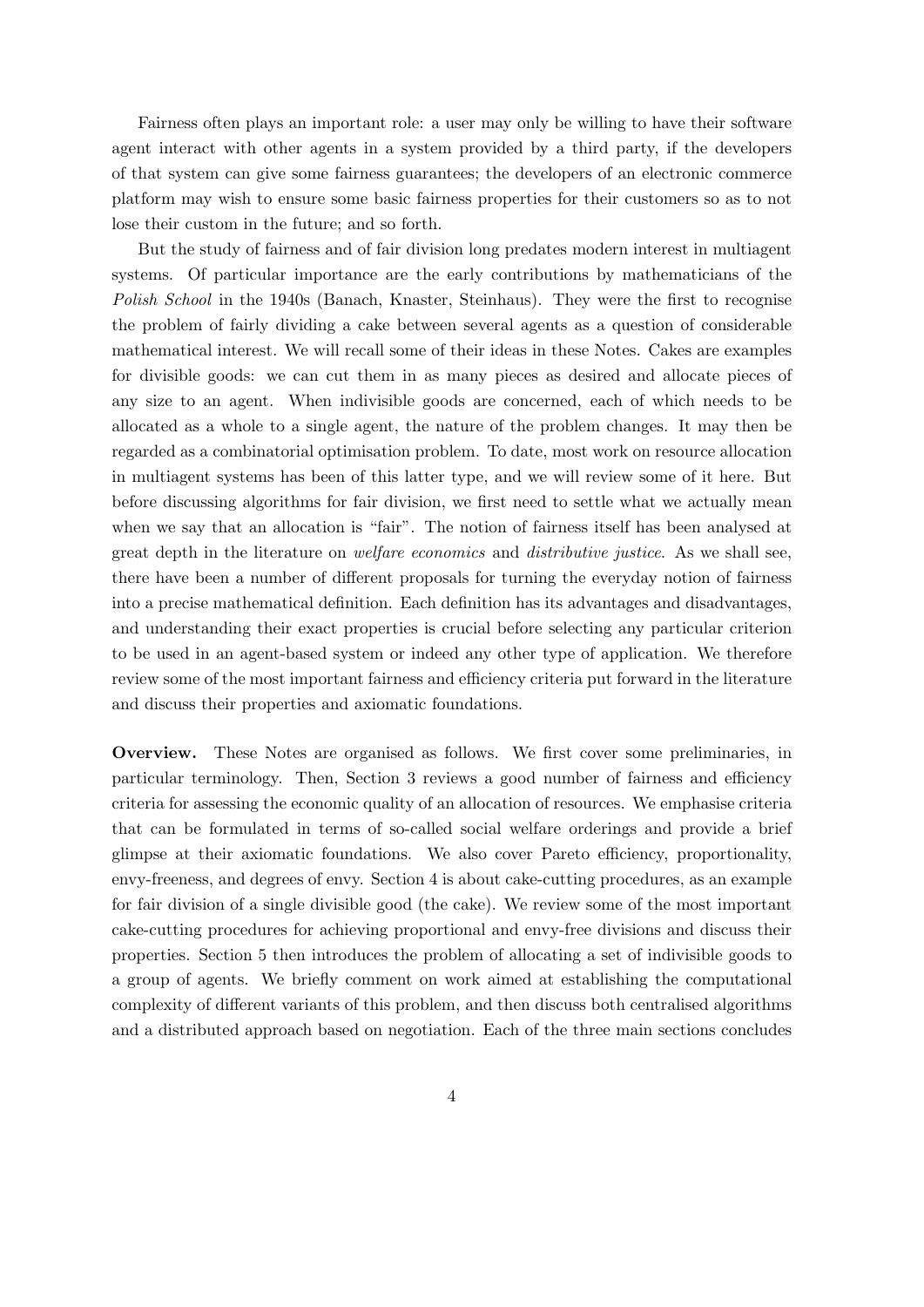Fairness often plays an important role: a user may only be willing to have their software agent interact with other agents in a system provided by a third party, if the developers of that system can give some fairness guarantees; the developers of an electronic commerce platform may wish to ensure some basic fairness properties for their customers so as to not lose their custom in the future; and so forth.

But the study of fairness and of fair division long predates modern interest in multiagent systems. Of particular importance are the early contributions by mathematicians of the Polish School in the 1940s (Banach, Knaster, Steinhaus). They were the first to recognise the problem of fairly dividing a cake between several agents as a question of considerable mathematical interest. We will recall some of their ideas in these Notes. Cakes are examples for divisible goods: we can cut them in as many pieces as desired and allocate pieces of any size to an agent. When indivisible goods are concerned, each of which needs to be allocated as a whole to a single agent, the nature of the problem changes. It may then be regarded as a combinatorial optimisation problem. To date, most work on resource allocation in multiagent systems has been of this latter type, and we will review some of it here. But before discussing algorithms for fair division, we first need to settle what we actually mean when we say that an allocation is "fair". The notion of fairness itself has been analysed at great depth in the literature on welfare economics and distributive justice. As we shall see, there have been a number of different proposals for turning the everyday notion of fairness into a precise mathematical definition. Each definition has its advantages and disadvantages, and understanding their exact properties is crucial before selecting any particular criterion to be used in an agent-based system or indeed any other type of application. We therefore review some of the most important fairness and efficiency criteria put forward in the literature and discuss their properties and axiomatic foundations.

Overview. These Notes are organised as follows. We first cover some preliminaries, in particular terminology. Then, Section 3 reviews a good number of fairness and efficiency criteria for assessing the economic quality of an allocation of resources. We emphasise criteria that can be formulated in terms of so-called social welfare orderings and provide a brief glimpse at their axiomatic foundations. We also cover Pareto efficiency, proportionality, envy-freeness, and degrees of envy. Section 4 is about cake-cutting procedures, as an example for fair division of a single divisible good (the cake). We review some of the most important cake-cutting procedures for achieving proportional and envy-free divisions and discuss their properties. Section 5 then introduces the problem of allocating a set of indivisible goods to a group of agents. We briefly comment on work aimed at establishing the computational complexity of different variants of this problem, and then discuss both centralised algorithms and a distributed approach based on negotiation. Each of the three main sections concludes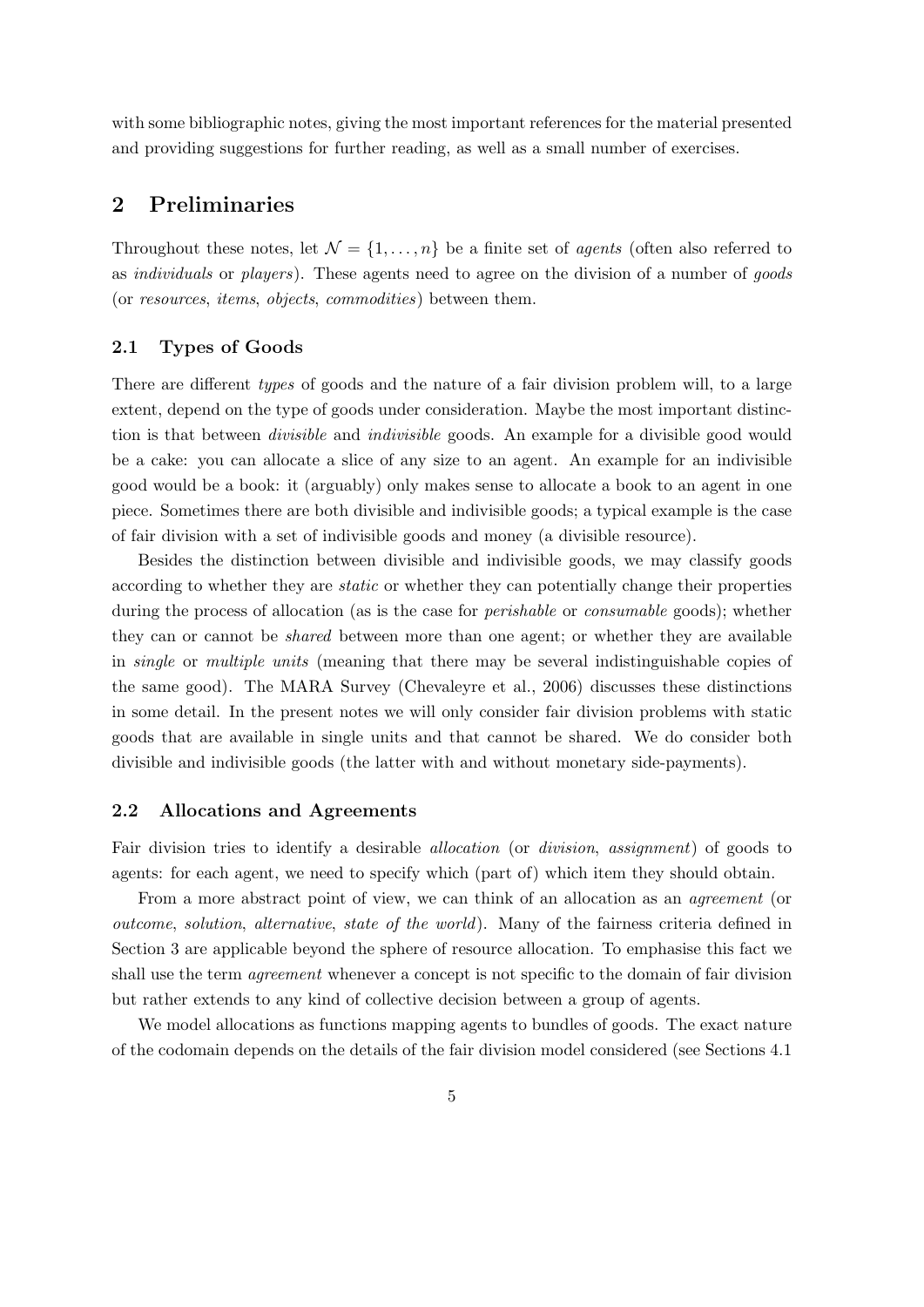with some bibliographic notes, giving the most important references for the material presented and providing suggestions for further reading, as well as a small number of exercises.

# 2 Preliminaries

Throughout these notes, let  $\mathcal{N} = \{1, \ldots, n\}$  be a finite set of *agents* (often also referred to as individuals or players). These agents need to agree on the division of a number of goods (or resources, items, objects, commodities) between them.

#### 2.1 Types of Goods

There are different types of goods and the nature of a fair division problem will, to a large extent, depend on the type of goods under consideration. Maybe the most important distinction is that between divisible and indivisible goods. An example for a divisible good would be a cake: you can allocate a slice of any size to an agent. An example for an indivisible good would be a book: it (arguably) only makes sense to allocate a book to an agent in one piece. Sometimes there are both divisible and indivisible goods; a typical example is the case of fair division with a set of indivisible goods and money (a divisible resource).

Besides the distinction between divisible and indivisible goods, we may classify goods according to whether they are static or whether they can potentially change their properties during the process of allocation (as is the case for *perishable* or *consumable* goods); whether they can or cannot be shared between more than one agent; or whether they are available in single or multiple units (meaning that there may be several indistinguishable copies of the same good). The MARA Survey (Chevaleyre et al., 2006) discusses these distinctions in some detail. In the present notes we will only consider fair division problems with static goods that are available in single units and that cannot be shared. We do consider both divisible and indivisible goods (the latter with and without monetary side-payments).

#### 2.2 Allocations and Agreements

Fair division tries to identify a desirable allocation (or division, assignment) of goods to agents: for each agent, we need to specify which (part of) which item they should obtain.

From a more abstract point of view, we can think of an allocation as an agreement (or outcome, solution, alternative, state of the world). Many of the fairness criteria defined in Section 3 are applicable beyond the sphere of resource allocation. To emphasise this fact we shall use the term *agreement* whenever a concept is not specific to the domain of fair division but rather extends to any kind of collective decision between a group of agents.

We model allocations as functions mapping agents to bundles of goods. The exact nature of the codomain depends on the details of the fair division model considered (see Sections 4.1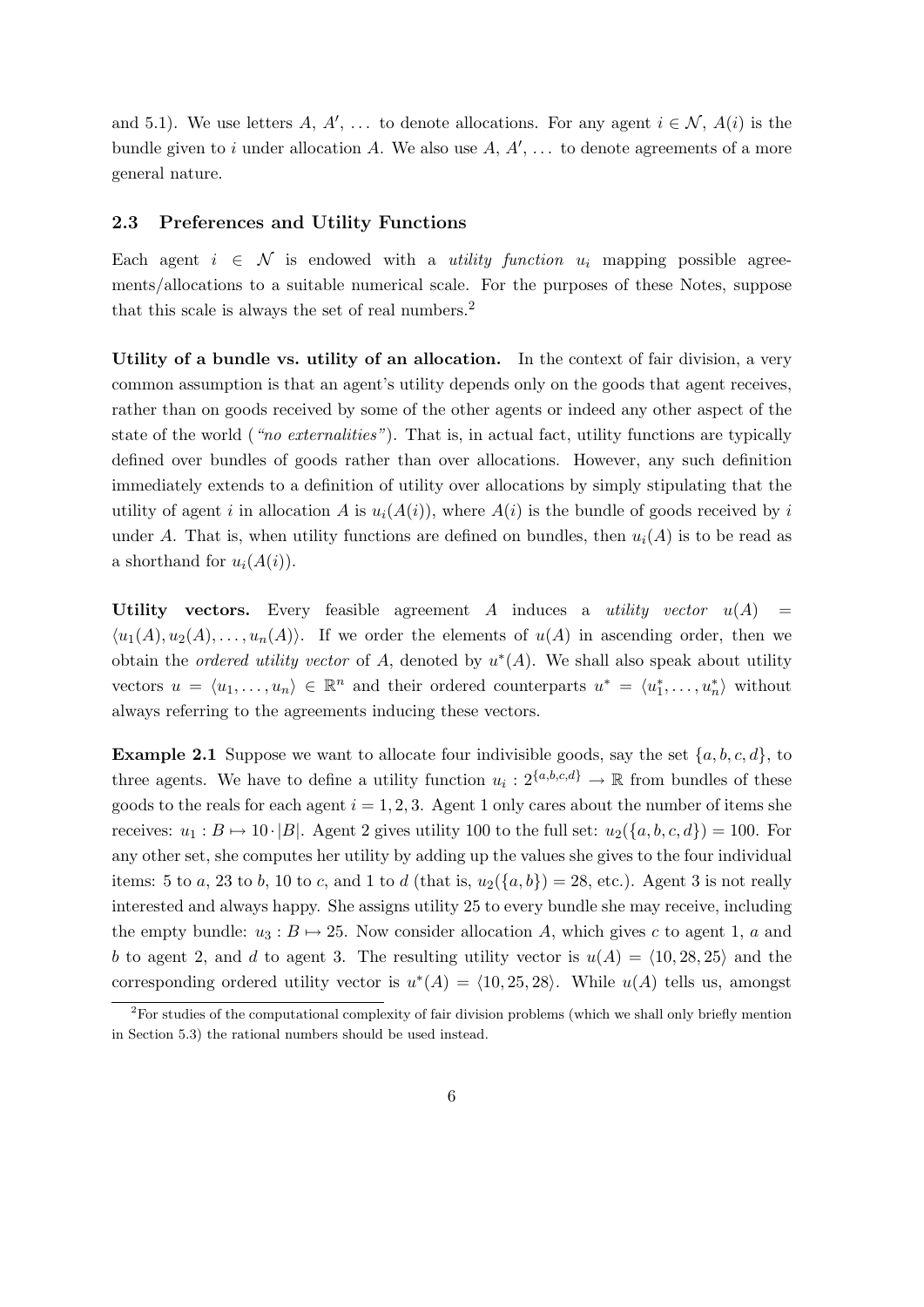and 5.1). We use letters A, A', ... to denote allocations. For any agent  $i \in \mathcal{N}$ , A(i) is the bundle given to i under allocation A. We also use  $A, A', \ldots$  to denote agreements of a more general nature.

#### 2.3 Preferences and Utility Functions

Each agent  $i \in \mathcal{N}$  is endowed with a *utility function*  $u_i$  mapping possible agreements/allocations to a suitable numerical scale. For the purposes of these Notes, suppose that this scale is always the set of real numbers.<sup>2</sup>

Utility of a bundle vs. utility of an allocation. In the context of fair division, a very common assumption is that an agent's utility depends only on the goods that agent receives, rather than on goods received by some of the other agents or indeed any other aspect of the state of the world ("no externalities"). That is, in actual fact, utility functions are typically defined over bundles of goods rather than over allocations. However, any such definition immediately extends to a definition of utility over allocations by simply stipulating that the utility of agent i in allocation A is  $u_i(A(i))$ , where  $A(i)$  is the bundle of goods received by i under A. That is, when utility functions are defined on bundles, then  $u_i(A)$  is to be read as a shorthand for  $u_i(A(i))$ .

Utility vectors. Every feasible agreement A induces a utility vector  $u(A)$  =  $\langle u_1(A), u_2(A), \ldots, u_n(A) \rangle$ . If we order the elements of  $u(A)$  in ascending order, then we obtain the *ordered utility vector* of A, denoted by  $u^*(A)$ . We shall also speak about utility vectors  $u = \langle u_1, \ldots, u_n \rangle \in \mathbb{R}^n$  and their ordered counterparts  $u^* = \langle u_1^*, \ldots, u_n^* \rangle$  without always referring to the agreements inducing these vectors.

**Example 2.1** Suppose we want to allocate four indivisible goods, say the set  $\{a, b, c, d\}$ , to three agents. We have to define a utility function  $u_i: 2^{\{a,b,c,d\}} \to \mathbb{R}$  from bundles of these goods to the reals for each agent  $i = 1, 2, 3$ . Agent 1 only cares about the number of items she receives:  $u_1 : B \mapsto 10 \cdot |B|$ . Agent 2 gives utility 100 to the full set:  $u_2({a, b, c, d}) = 100$ . For any other set, she computes her utility by adding up the values she gives to the four individual items: 5 to a, 23 to b, 10 to c, and 1 to d (that is,  $u_2({a,b}) = 28$ , etc.). Agent 3 is not really interested and always happy. She assigns utility 25 to every bundle she may receive, including the empty bundle:  $u_3 : B \mapsto 25$ . Now consider allocation A, which gives c to agent 1, a and b to agent 2, and d to agent 3. The resulting utility vector is  $u(A) = \langle 10, 28, 25 \rangle$  and the corresponding ordered utility vector is  $u^*(A) = \langle 10, 25, 28 \rangle$ . While  $u(A)$  tells us, amongst

<sup>&</sup>lt;sup>2</sup>For studies of the computational complexity of fair division problems (which we shall only briefly mention in Section 5.3) the rational numbers should be used instead.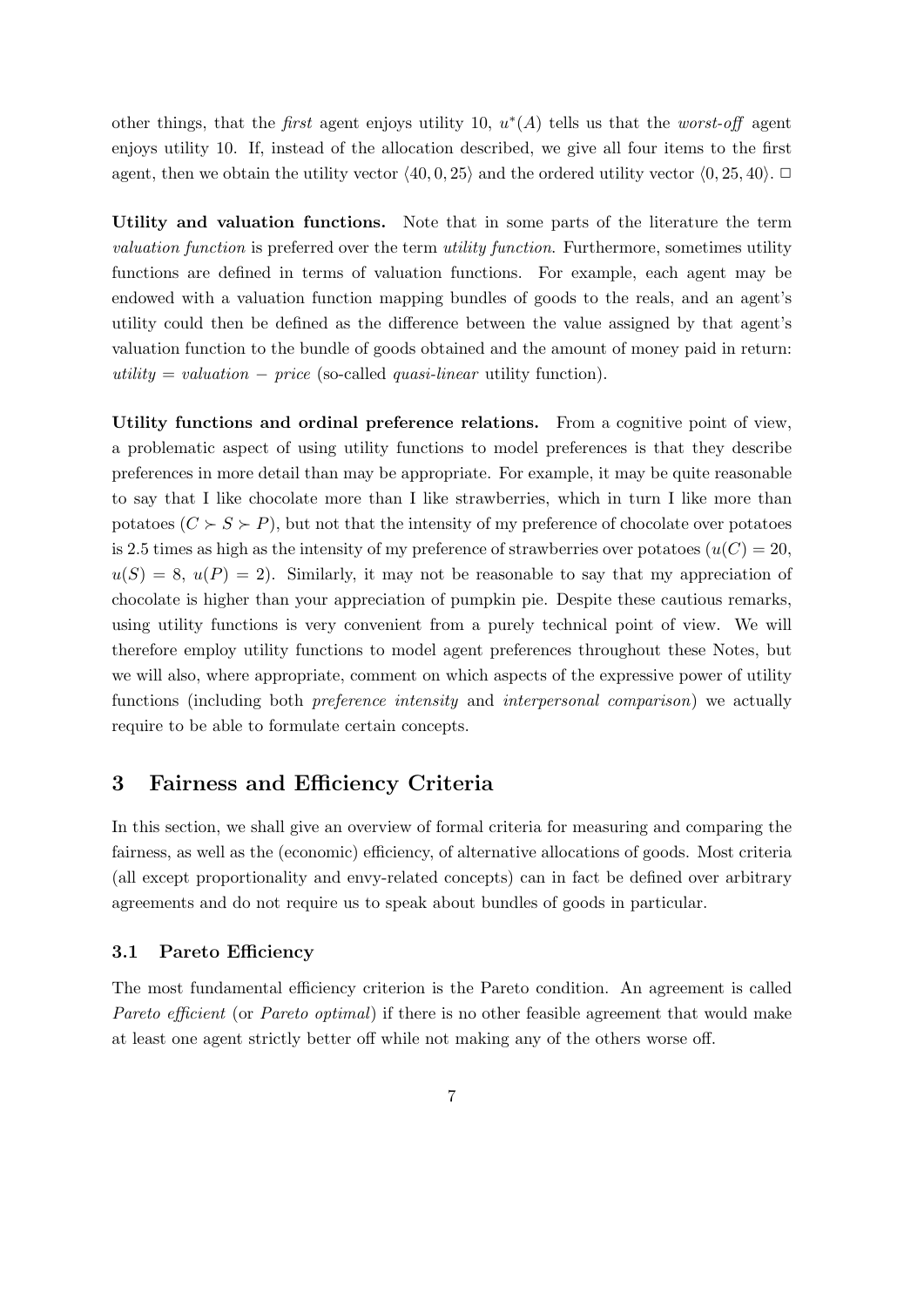other things, that the *first* agent enjoys utility 10,  $u^*(A)$  tells us that the *worst-off* agent enjoys utility 10. If, instead of the allocation described, we give all four items to the first agent, then we obtain the utility vector  $\langle 40, 0, 25 \rangle$  and the ordered utility vector  $\langle 0, 25, 40 \rangle$ .

Utility and valuation functions. Note that in some parts of the literature the term valuation function is preferred over the term utility function. Furthermore, sometimes utility functions are defined in terms of valuation functions. For example, each agent may be endowed with a valuation function mapping bundles of goods to the reals, and an agent's utility could then be defined as the difference between the value assigned by that agent's valuation function to the bundle of goods obtained and the amount of money paid in return: utility = valuation – price (so-called quasi-linear utility function).

Utility functions and ordinal preference relations. From a cognitive point of view, a problematic aspect of using utility functions to model preferences is that they describe preferences in more detail than may be appropriate. For example, it may be quite reasonable to say that I like chocolate more than I like strawberries, which in turn I like more than potatoes  $(C \succ S \succ P)$ , but not that the intensity of my preference of chocolate over potatoes is 2.5 times as high as the intensity of my preference of strawberries over potatoes  $(u(C) = 20,$  $u(S) = 8$ ,  $u(P) = 2$ ). Similarly, it may not be reasonable to say that my appreciation of chocolate is higher than your appreciation of pumpkin pie. Despite these cautious remarks, using utility functions is very convenient from a purely technical point of view. We will therefore employ utility functions to model agent preferences throughout these Notes, but we will also, where appropriate, comment on which aspects of the expressive power of utility functions (including both *preference intensity* and *interpersonal comparison*) we actually require to be able to formulate certain concepts.

# 3 Fairness and Efficiency Criteria

In this section, we shall give an overview of formal criteria for measuring and comparing the fairness, as well as the (economic) efficiency, of alternative allocations of goods. Most criteria (all except proportionality and envy-related concepts) can in fact be defined over arbitrary agreements and do not require us to speak about bundles of goods in particular.

#### 3.1 Pareto Efficiency

The most fundamental efficiency criterion is the Pareto condition. An agreement is called Pareto efficient (or Pareto optimal) if there is no other feasible agreement that would make at least one agent strictly better off while not making any of the others worse off.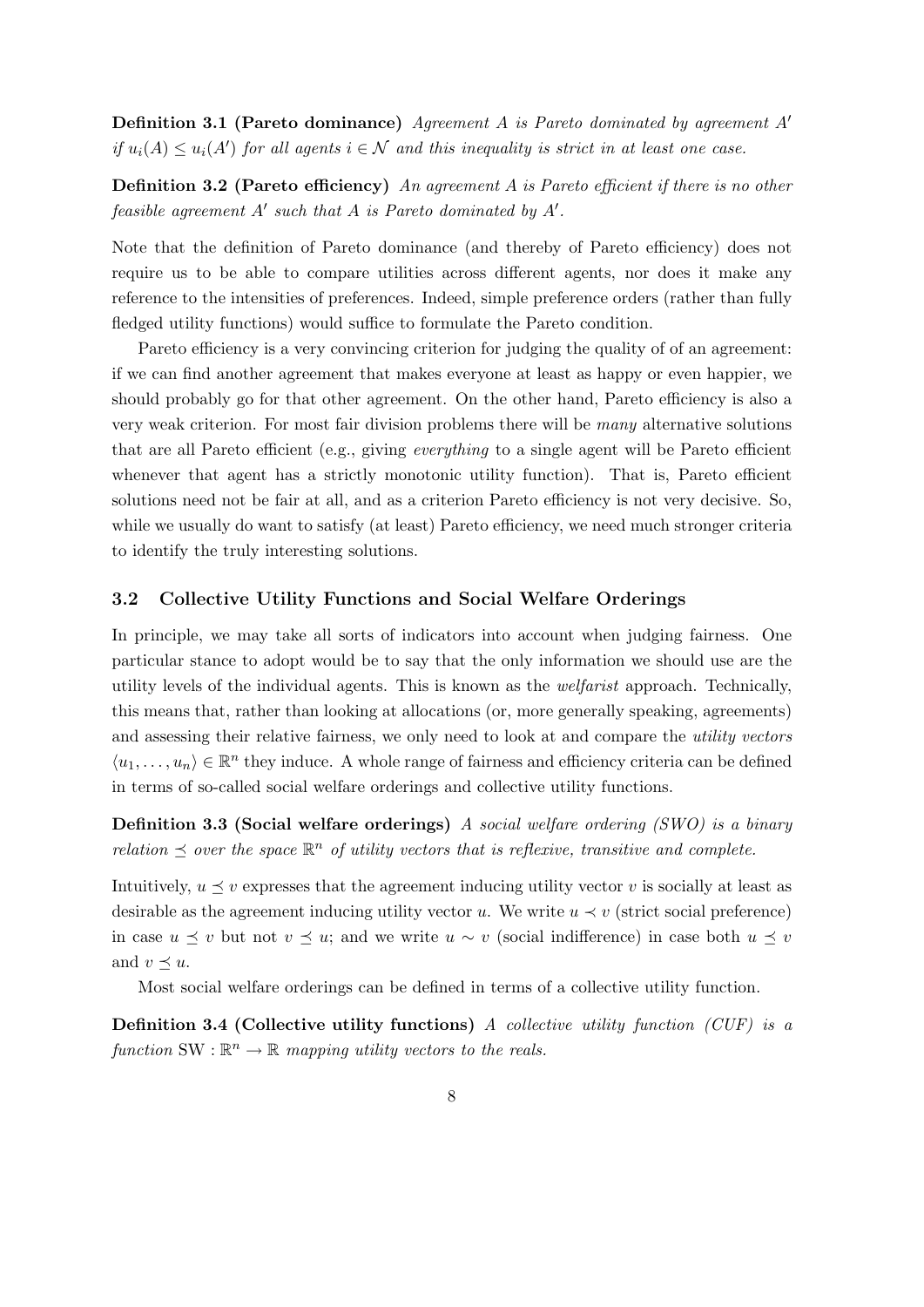**Definition 3.1 (Pareto dominance)** Agreement A is Pareto dominated by agreement  $A'$ if  $u_i(A) \leq u_i(A')$  for all agents  $i \in \mathcal{N}$  and this inequality is strict in at least one case.

**Definition 3.2 (Pareto efficiency)** An agreement A is Pareto efficient if there is no other feasible agreement  $A'$  such that  $A$  is Pareto dominated by  $A'$ .

Note that the definition of Pareto dominance (and thereby of Pareto efficiency) does not require us to be able to compare utilities across different agents, nor does it make any reference to the intensities of preferences. Indeed, simple preference orders (rather than fully fledged utility functions) would suffice to formulate the Pareto condition.

Pareto efficiency is a very convincing criterion for judging the quality of of an agreement: if we can find another agreement that makes everyone at least as happy or even happier, we should probably go for that other agreement. On the other hand, Pareto efficiency is also a very weak criterion. For most fair division problems there will be many alternative solutions that are all Pareto efficient (e.g., giving everything to a single agent will be Pareto efficient whenever that agent has a strictly monotonic utility function). That is, Pareto efficient solutions need not be fair at all, and as a criterion Pareto efficiency is not very decisive. So, while we usually do want to satisfy (at least) Pareto efficiency, we need much stronger criteria to identify the truly interesting solutions.

#### 3.2 Collective Utility Functions and Social Welfare Orderings

In principle, we may take all sorts of indicators into account when judging fairness. One particular stance to adopt would be to say that the only information we should use are the utility levels of the individual agents. This is known as the welfarist approach. Technically, this means that, rather than looking at allocations (or, more generally speaking, agreements) and assessing their relative fairness, we only need to look at and compare the *utility vectors*  $\langle u_1, \ldots, u_n \rangle \in \mathbb{R}^n$  they induce. A whole range of fairness and efficiency criteria can be defined in terms of so-called social welfare orderings and collective utility functions.

Definition 3.3 (Social welfare orderings) A social welfare ordering (SWO) is a binary relation  $\preceq$  over the space  $\mathbb{R}^n$  of utility vectors that is reflexive, transitive and complete.

Intuitively,  $u \prec v$  expresses that the agreement inducing utility vector v is socially at least as desirable as the agreement inducing utility vector u. We write  $u \prec v$  (strict social preference) in case  $u \preceq v$  but not  $v \preceq u$ ; and we write  $u \sim v$  (social indifference) in case both  $u \preceq v$ and  $v \prec u$ .

Most social welfare orderings can be defined in terms of a collective utility function.

**Definition 3.4 (Collective utility functions)** A collective utility function (CUF) is a function SW :  $\mathbb{R}^n \to \mathbb{R}$  mapping utility vectors to the reals.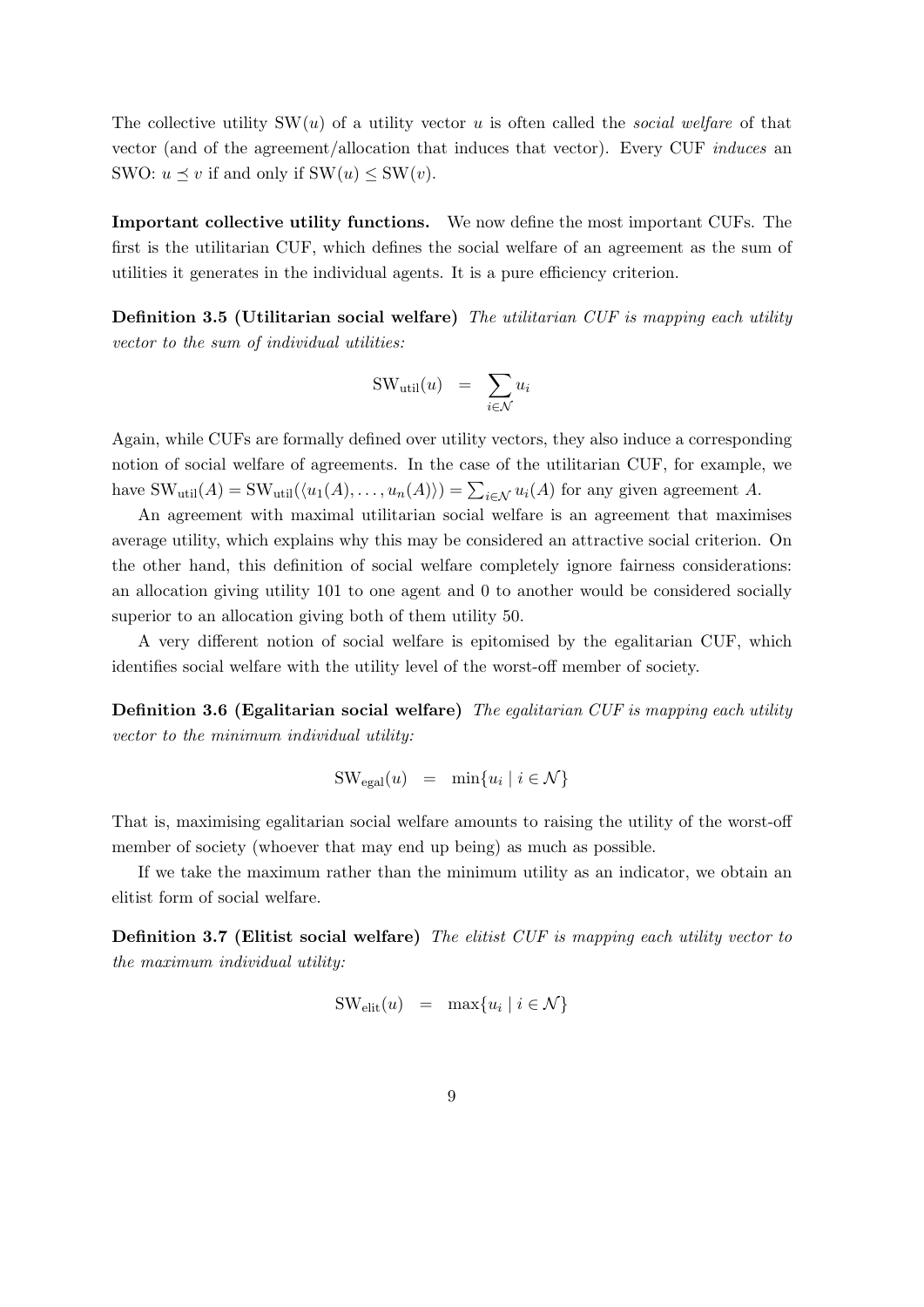The collective utility  $SW(u)$  of a utility vector u is often called the *social welfare* of that vector (and of the agreement/allocation that induces that vector). Every CUF induces an SWO:  $u \preceq v$  if and only if  $SW(u) \leq SW(v)$ .

Important collective utility functions. We now define the most important CUFs. The first is the utilitarian CUF, which defines the social welfare of an agreement as the sum of utilities it generates in the individual agents. It is a pure efficiency criterion.

Definition 3.5 (Utilitarian social welfare) The utilitarian CUF is mapping each utility vector to the sum of individual utilities:

$$
SW_{util}(u) = \sum_{i \in \mathcal{N}} u_i
$$

Again, while CUFs are formally defined over utility vectors, they also induce a corresponding notion of social welfare of agreements. In the case of the utilitarian CUF, for example, we have  $SW_{util}(A) = SW_{util}(\langle u_1(A), \ldots, u_n(A) \rangle) = \sum_{i \in \mathcal{N}} u_i(A)$  for any given agreement A.

An agreement with maximal utilitarian social welfare is an agreement that maximises average utility, which explains why this may be considered an attractive social criterion. On the other hand, this definition of social welfare completely ignore fairness considerations: an allocation giving utility 101 to one agent and 0 to another would be considered socially superior to an allocation giving both of them utility 50.

A very different notion of social welfare is epitomised by the egalitarian CUF, which identifies social welfare with the utility level of the worst-off member of society.

**Definition 3.6 (Egalitarian social welfare)** The equilitarian CUF is mapping each utility vector to the minimum individual utility:

$$
SW_{\text{egal}}(u) = \min\{u_i \mid i \in \mathcal{N}\}\
$$

That is, maximising egalitarian social welfare amounts to raising the utility of the worst-off member of society (whoever that may end up being) as much as possible.

If we take the maximum rather than the minimum utility as an indicator, we obtain an elitist form of social welfare.

Definition 3.7 (Elitist social welfare) The elitist CUF is mapping each utility vector to the maximum individual utility:

$$
SW_{\text{elit}}(u) = \max\{u_i \mid i \in \mathcal{N}\}\
$$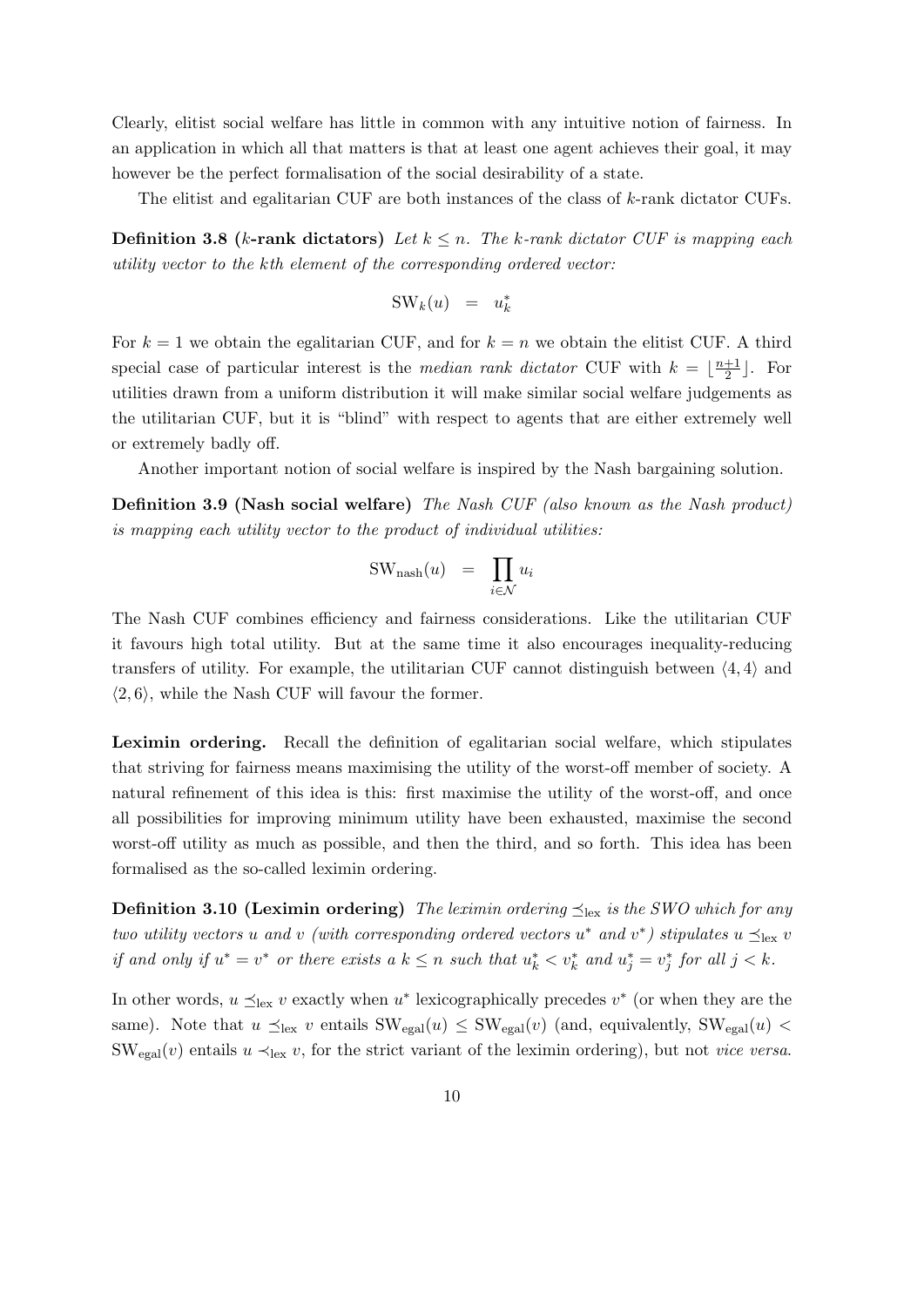Clearly, elitist social welfare has little in common with any intuitive notion of fairness. In an application in which all that matters is that at least one agent achieves their goal, it may however be the perfect formalisation of the social desirability of a state.

The elitist and egalitarian CUF are both instances of the class of k-rank dictator CUFs.

**Definition 3.8 (k-rank dictators)** Let  $k \leq n$ . The k-rank dictator CUF is mapping each utility vector to the kth element of the corresponding ordered vector:

$$
SW_k(u) = u_k^*
$$

For  $k = 1$  we obtain the egalitarian CUF, and for  $k = n$  we obtain the elitist CUF. A third special case of particular interest is the *median rank dictator* CUF with  $k = \frac{n+1}{2}$  $\frac{+1}{2}$ . For utilities drawn from a uniform distribution it will make similar social welfare judgements as the utilitarian CUF, but it is "blind" with respect to agents that are either extremely well or extremely badly off.

Another important notion of social welfare is inspired by the Nash bargaining solution.

Definition 3.9 (Nash social welfare) The Nash CUF (also known as the Nash product) is mapping each utility vector to the product of individual utilities:

$$
SW_{\text{nash}}(u) = \prod_{i \in \mathcal{N}} u_i
$$

The Nash CUF combines efficiency and fairness considerations. Like the utilitarian CUF it favours high total utility. But at the same time it also encourages inequality-reducing transfers of utility. For example, the utilitarian CUF cannot distinguish between  $\langle 4, 4 \rangle$  and  $\langle 2, 6 \rangle$ , while the Nash CUF will favour the former.

Leximin ordering. Recall the definition of egalitarian social welfare, which stipulates that striving for fairness means maximising the utility of the worst-off member of society. A natural refinement of this idea is this: first maximise the utility of the worst-off, and once all possibilities for improving minimum utility have been exhausted, maximise the second worst-off utility as much as possible, and then the third, and so forth. This idea has been formalised as the so-called leximin ordering.

**Definition 3.10 (Leximin ordering)** The leximin ordering  $\preceq_{\text{lex}}$  is the SWO which for any two utility vectors u and v (with corresponding ordered vectors  $u^*$  and  $v^*$ ) stipulates  $u \preceq_{\text{lex}} v$ if and only if  $u^* = v^*$  or there exists a  $k \leq n$  such that  $u_k^* < v_k^*$  and  $u_j^* = v_j^*$  for all  $j < k$ .

In other words,  $u \preceq_{\text{lex}} v$  exactly when  $u^*$  lexicographically precedes  $v^*$  (or when they are the same). Note that  $u \preceq_{\text{lex}} v$  entails  $\text{SW}_{\text{egal}}(u) \leq \text{SW}_{\text{egal}}(v)$  (and, equivalently,  $\text{SW}_{\text{egal}}(u)$ )  $\text{SW}_{\text{egal}}(v)$  entails  $u \prec_{\text{lex}} v$ , for the strict variant of the leximin ordering), but not *vice versa*.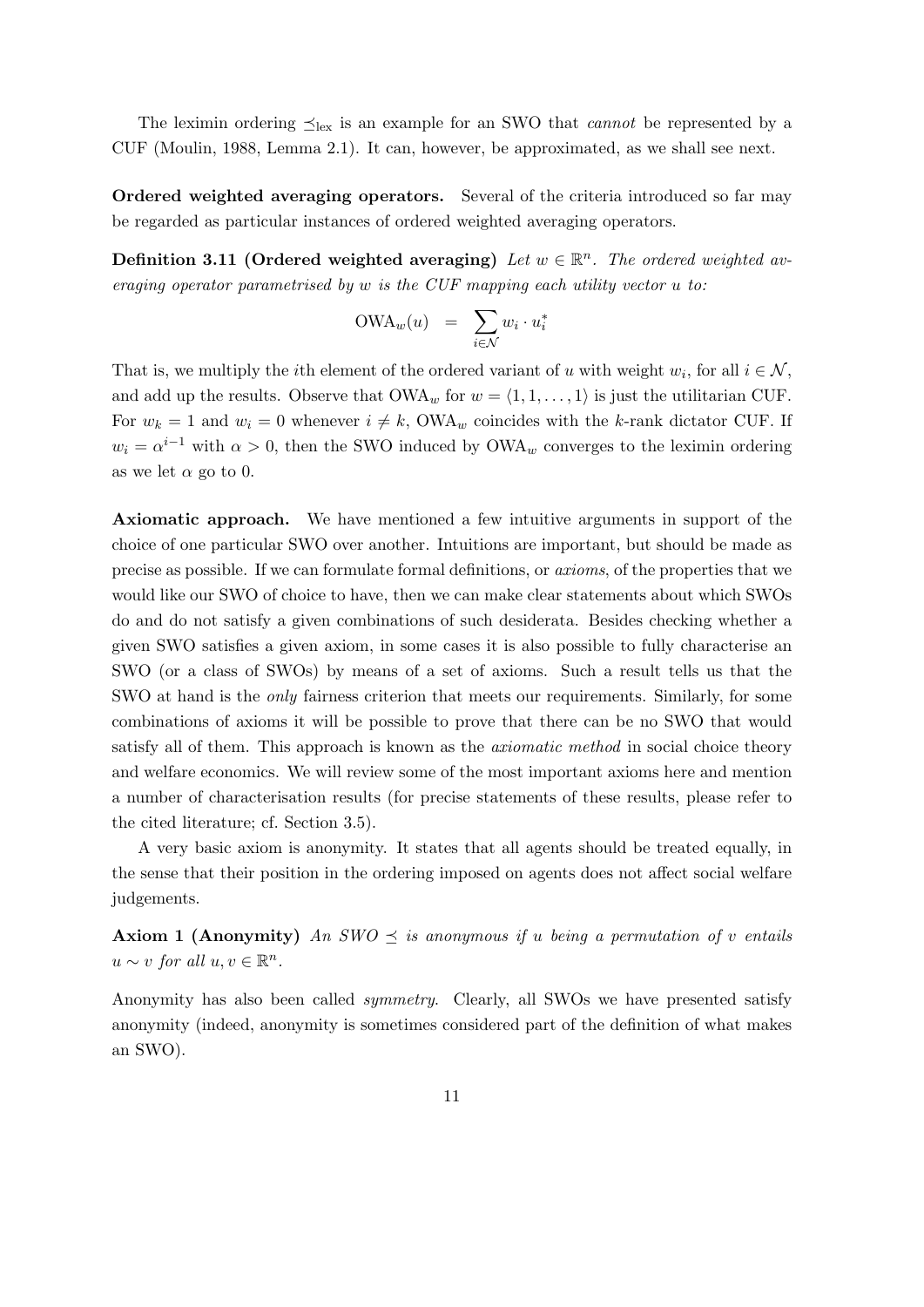The leximin ordering  $\preceq_{\text{lex}}$  is an example for an SWO that *cannot* be represented by a CUF (Moulin, 1988, Lemma 2.1). It can, however, be approximated, as we shall see next.

Ordered weighted averaging operators. Several of the criteria introduced so far may be regarded as particular instances of ordered weighted averaging operators.

Definition 3.11 (Ordered weighted averaging) Let  $w \in \mathbb{R}^n$ . The ordered weighted averaging operator parametrised by w is the CUF mapping each utility vector u to:

$$
\text{OWA}_w(u) = \sum_{i \in \mathcal{N}} w_i \cdot u_i^*
$$

That is, we multiply the *i*th element of the ordered variant of u with weight  $w_i$ , for all  $i \in \mathcal{N}$ , and add up the results. Observe that  $\text{OWA}_w$  for  $w = \langle 1, 1, \ldots, 1 \rangle$  is just the utilitarian CUF. For  $w_k = 1$  and  $w_i = 0$  whenever  $i \neq k$ , OWA<sub>w</sub> coincides with the k-rank dictator CUF. If  $w_i = \alpha^{i-1}$  with  $\alpha > 0$ , then the SWO induced by OWA<sub>w</sub> converges to the leximin ordering as we let  $\alpha$  go to 0.

Axiomatic approach. We have mentioned a few intuitive arguments in support of the choice of one particular SWO over another. Intuitions are important, but should be made as precise as possible. If we can formulate formal definitions, or axioms, of the properties that we would like our SWO of choice to have, then we can make clear statements about which SWOs do and do not satisfy a given combinations of such desiderata. Besides checking whether a given SWO satisfies a given axiom, in some cases it is also possible to fully characterise an SWO (or a class of SWOs) by means of a set of axioms. Such a result tells us that the SWO at hand is the only fairness criterion that meets our requirements. Similarly, for some combinations of axioms it will be possible to prove that there can be no SWO that would satisfy all of them. This approach is known as the *axiomatic method* in social choice theory and welfare economics. We will review some of the most important axioms here and mention a number of characterisation results (for precise statements of these results, please refer to the cited literature; cf. Section 3.5).

A very basic axiom is anonymity. It states that all agents should be treated equally, in the sense that their position in the ordering imposed on agents does not affect social welfare judgements.

**Axiom 1 (Anonymity)** An SWO  $\leq$  is anonymous if u being a permutation of v entails  $u \sim v$  for all  $u, v \in \mathbb{R}^n$ .

Anonymity has also been called symmetry. Clearly, all SWOs we have presented satisfy anonymity (indeed, anonymity is sometimes considered part of the definition of what makes an SWO).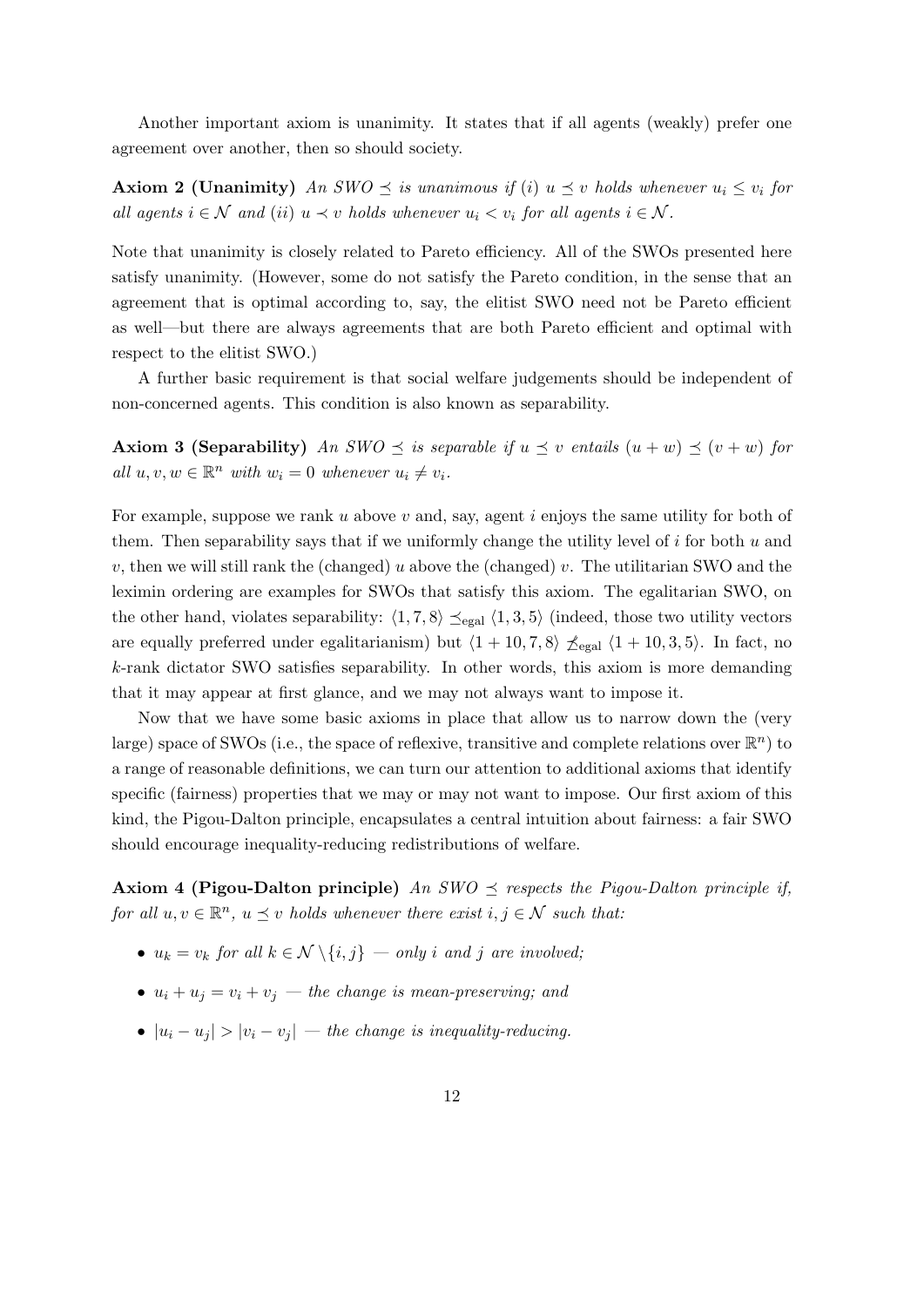Another important axiom is unanimity. It states that if all agents (weakly) prefer one agreement over another, then so should society.

**Axiom 2 (Unanimity)** An SWO  $\leq$  is unanimous if (i)  $u \leq v$  holds whenever  $u_i \leq v_i$  for all agents  $i \in \mathcal{N}$  and (ii)  $u \prec v$  holds whenever  $u_i < v_i$  for all agents  $i \in \mathcal{N}$ .

Note that unanimity is closely related to Pareto efficiency. All of the SWOs presented here satisfy unanimity. (However, some do not satisfy the Pareto condition, in the sense that an agreement that is optimal according to, say, the elitist SWO need not be Pareto efficient as well—but there are always agreements that are both Pareto efficient and optimal with respect to the elitist SWO.)

A further basic requirement is that social welfare judgements should be independent of non-concerned agents. This condition is also known as separability.

**Axiom 3 (Separability)** An SWO  $\leq$  is separable if  $u \leq v$  entails  $(u + w) \leq (v + w)$  for all  $u, v, w \in \mathbb{R}^n$  with  $w_i = 0$  whenever  $u_i \neq v_i$ .

For example, suppose we rank  $u$  above  $v$  and, say, agent  $i$  enjoys the same utility for both of them. Then separability says that if we uniformly change the utility level of  $i$  for both  $u$  and v, then we will still rank the (changed) u above the (changed) v. The utilitarian SWO and the leximin ordering are examples for SWOs that satisfy this axiom. The egalitarian SWO, on the other hand, violates separability:  $\langle 1, 7, 8 \rangle \preceq_{\text{egal}} \langle 1, 3, 5 \rangle$  (indeed, those two utility vectors are equally preferred under egalitarianism) but  $\langle 1 + 10, 7, 8 \rangle$   $\leq_{\text{egal}} \langle 1 + 10, 3, 5 \rangle$ . In fact, no k-rank dictator SWO satisfies separability. In other words, this axiom is more demanding that it may appear at first glance, and we may not always want to impose it.

Now that we have some basic axioms in place that allow us to narrow down the (very large) space of SWOs (i.e., the space of reflexive, transitive and complete relations over  $\mathbb{R}^n$ ) to a range of reasonable definitions, we can turn our attention to additional axioms that identify specific (fairness) properties that we may or may not want to impose. Our first axiom of this kind, the Pigou-Dalton principle, encapsulates a central intuition about fairness: a fair SWO should encourage inequality-reducing redistributions of welfare.

**Axiom 4 (Pigou-Dalton principle)** An SWO  $\preceq$  respects the Pigou-Dalton principle if, for all  $u, v \in \mathbb{R}^n$ ,  $u \leq v$  holds whenever there exist  $i, j \in \mathcal{N}$  such that:

- $u_k = v_k$  for all  $k \in \mathcal{N} \setminus \{i, j\}$  only i and j are involved;
- $u_i + u_j = v_i + v_j$  the change is mean-preserving; and
- $|u_i u_j| > |v_i v_j|$  the change is inequality-reducing.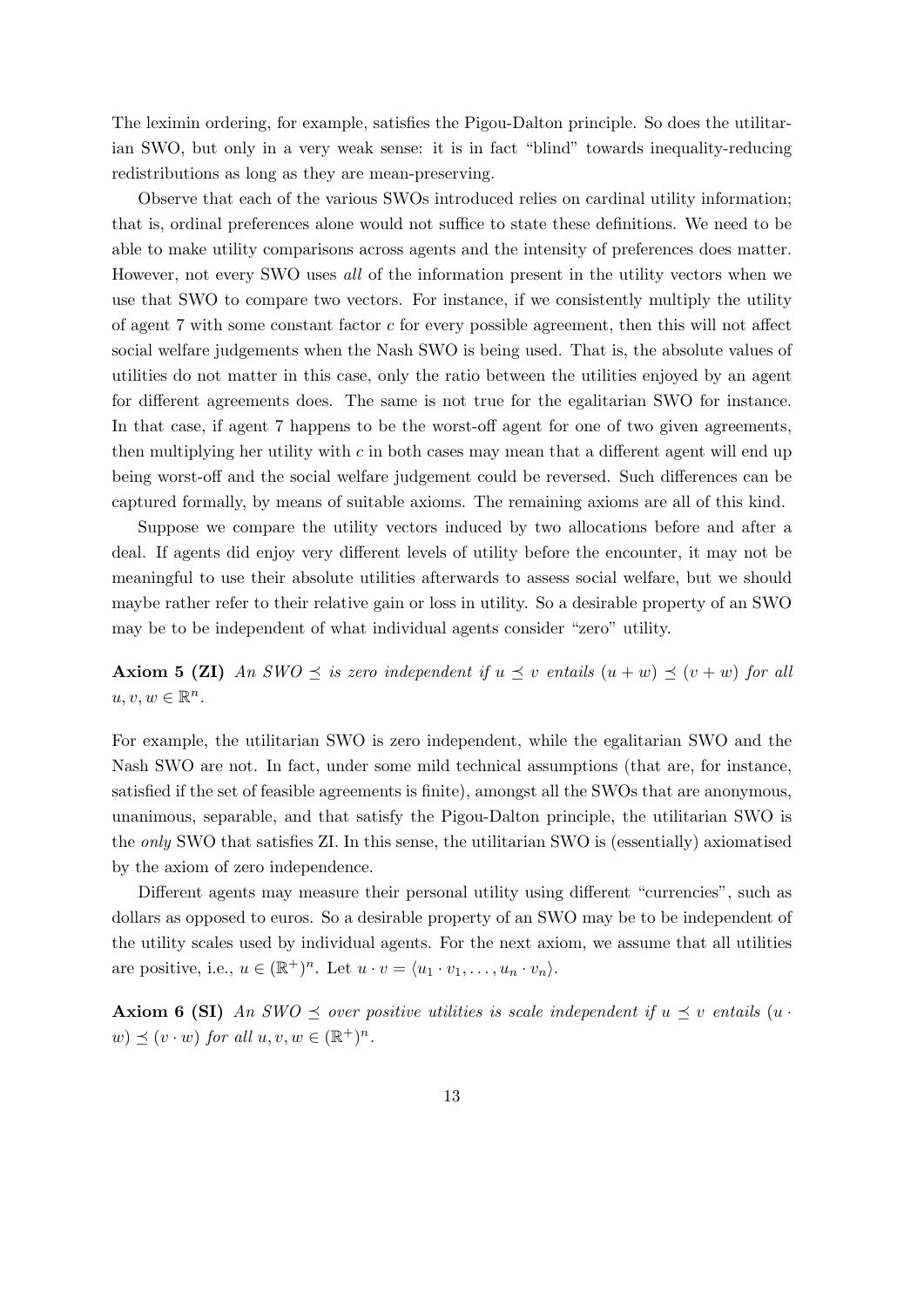The leximin ordering, for example, satisfies the Pigou-Dalton principle. So does the utilitarian SWO, but only in a very weak sense: it is in fact "blind" towards inequality-reducing redistributions as long as they are mean-preserving.

Observe that each of the various SWOs introduced relies on cardinal utility information; that is, ordinal preferences alone would not suffice to state these definitions. We need to be able to make utility comparisons across agents and the intensity of preferences does matter. However, not every SWO uses all of the information present in the utility vectors when we use that SWO to compare two vectors. For instance, if we consistently multiply the utility of agent 7 with some constant factor  $c$  for every possible agreement, then this will not affect social welfare judgements when the Nash SWO is being used. That is, the absolute values of utilities do not matter in this case, only the ratio between the utilities enjoyed by an agent for different agreements does. The same is not true for the egalitarian SWO for instance. In that case, if agent 7 happens to be the worst-off agent for one of two given agreements, then multiplying her utility with  $c$  in both cases may mean that a different agent will end up being worst-off and the social welfare judgement could be reversed. Such differences can be captured formally, by means of suitable axioms. The remaining axioms are all of this kind.

Suppose we compare the utility vectors induced by two allocations before and after a deal. If agents did enjoy very different levels of utility before the encounter, it may not be meaningful to use their absolute utilities afterwards to assess social welfare, but we should maybe rather refer to their relative gain or loss in utility. So a desirable property of an SWO may be to be independent of what individual agents consider "zero" utility.

Axiom 5 (ZI) An SWO  $\preceq$  is zero independent if  $u \preceq v$  entails  $(u + w) \preceq (v + w)$  for all  $u, v, w \in \mathbb{R}^n$ .

For example, the utilitarian SWO is zero independent, while the egalitarian SWO and the Nash SWO are not. In fact, under some mild technical assumptions (that are, for instance, satisfied if the set of feasible agreements is finite), amongst all the SWOs that are anonymous, unanimous, separable, and that satisfy the Pigou-Dalton principle, the utilitarian SWO is the only SWO that satisfies ZI. In this sense, the utilitarian SWO is (essentially) axiomatised by the axiom of zero independence.

Different agents may measure their personal utility using different "currencies", such as dollars as opposed to euros. So a desirable property of an SWO may be to be independent of the utility scales used by individual agents. For the next axiom, we assume that all utilities are positive, i.e.,  $u \in (\mathbb{R}^+)^n$ . Let  $u \cdot v = \langle u_1 \cdot v_1, \ldots, u_n \cdot v_n \rangle$ .

**Axiom 6 (SI)** An SWO  $\leq$  over positive utilities is scale independent if  $u \leq v$  entails (u.  $(w) \preceq (v \cdot w)$  for all  $u, v, w \in (\mathbb{R}^+)^n$ .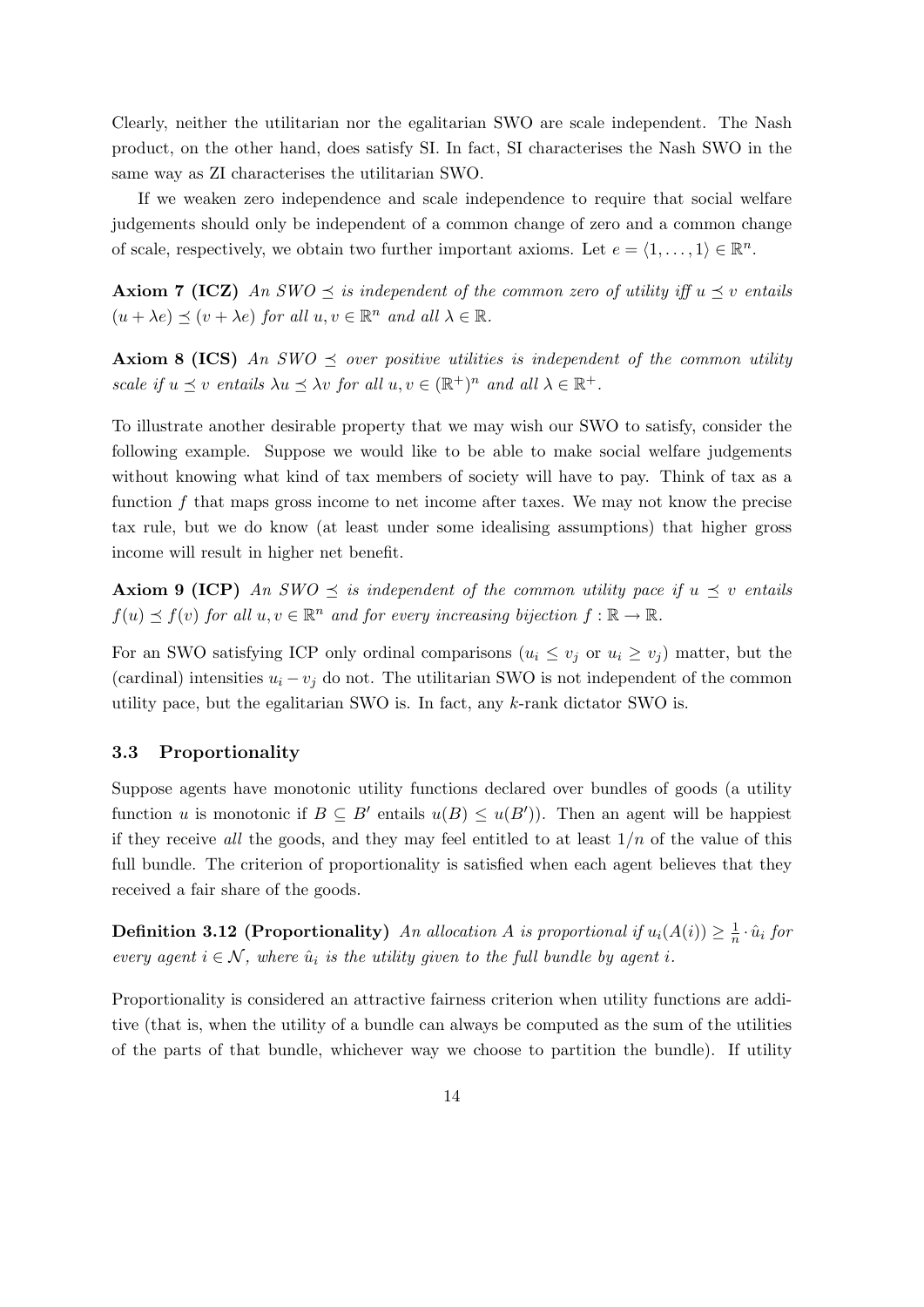Clearly, neither the utilitarian nor the egalitarian SWO are scale independent. The Nash product, on the other hand, does satisfy SI. In fact, SI characterises the Nash SWO in the same way as ZI characterises the utilitarian SWO.

If we weaken zero independence and scale independence to require that social welfare judgements should only be independent of a common change of zero and a common change of scale, respectively, we obtain two further important axioms. Let  $e = \langle 1, \ldots, 1 \rangle \in \mathbb{R}^n$ .

**Axiom 7 (ICZ)** An SWO  $\preceq$  is independent of the common zero of utility iff  $u \preceq v$  entails  $(u + \lambda e) \preceq (v + \lambda e)$  for all  $u, v \in \mathbb{R}^n$  and all  $\lambda \in \mathbb{R}$ .

**Axiom 8 (ICS)** An SWO  $\preceq$  over positive utilities is independent of the common utility scale if  $u \preceq v$  entails  $\lambda u \preceq \lambda v$  for all  $u, v \in (\mathbb{R}^+)^n$  and all  $\lambda \in \mathbb{R}^+$ .

To illustrate another desirable property that we may wish our SWO to satisfy, consider the following example. Suppose we would like to be able to make social welfare judgements without knowing what kind of tax members of society will have to pay. Think of tax as a function f that maps gross income to net income after taxes. We may not know the precise tax rule, but we do know (at least under some idealising assumptions) that higher gross income will result in higher net benefit.

**Axiom 9 (ICP)** An SWO  $\preceq$  is independent of the common utility pace if  $u \preceq v$  entails  $f(u) \preceq f(v)$  for all  $u, v \in \mathbb{R}^n$  and for every increasing bijection  $f : \mathbb{R} \to \mathbb{R}$ .

For an SWO satisfying ICP only ordinal comparisons  $(u_i \leq v_j \text{ or } u_i \geq v_j)$  matter, but the (cardinal) intensities  $u_i - v_j$  do not. The utilitarian SWO is not independent of the common utility pace, but the egalitarian SWO is. In fact, any  $k$ -rank dictator SWO is.

#### 3.3 Proportionality

Suppose agents have monotonic utility functions declared over bundles of goods (a utility function u is monotonic if  $B \subseteq B'$  entails  $u(B) \leq u(B')$ . Then an agent will be happiest if they receive all the goods, and they may feel entitled to at least  $1/n$  of the value of this full bundle. The criterion of proportionality is satisfied when each agent believes that they received a fair share of the goods.

**Definition 3.12 (Proportionality)** An allocation A is proportional if  $u_i(A(i)) \geq \frac{1}{n}$  $\frac{1}{n} \cdot \hat{u}_i$  for every agent  $i \in \mathcal{N}$ , where  $\hat{u}_i$  is the utility given to the full bundle by agent i.

Proportionality is considered an attractive fairness criterion when utility functions are additive (that is, when the utility of a bundle can always be computed as the sum of the utilities of the parts of that bundle, whichever way we choose to partition the bundle). If utility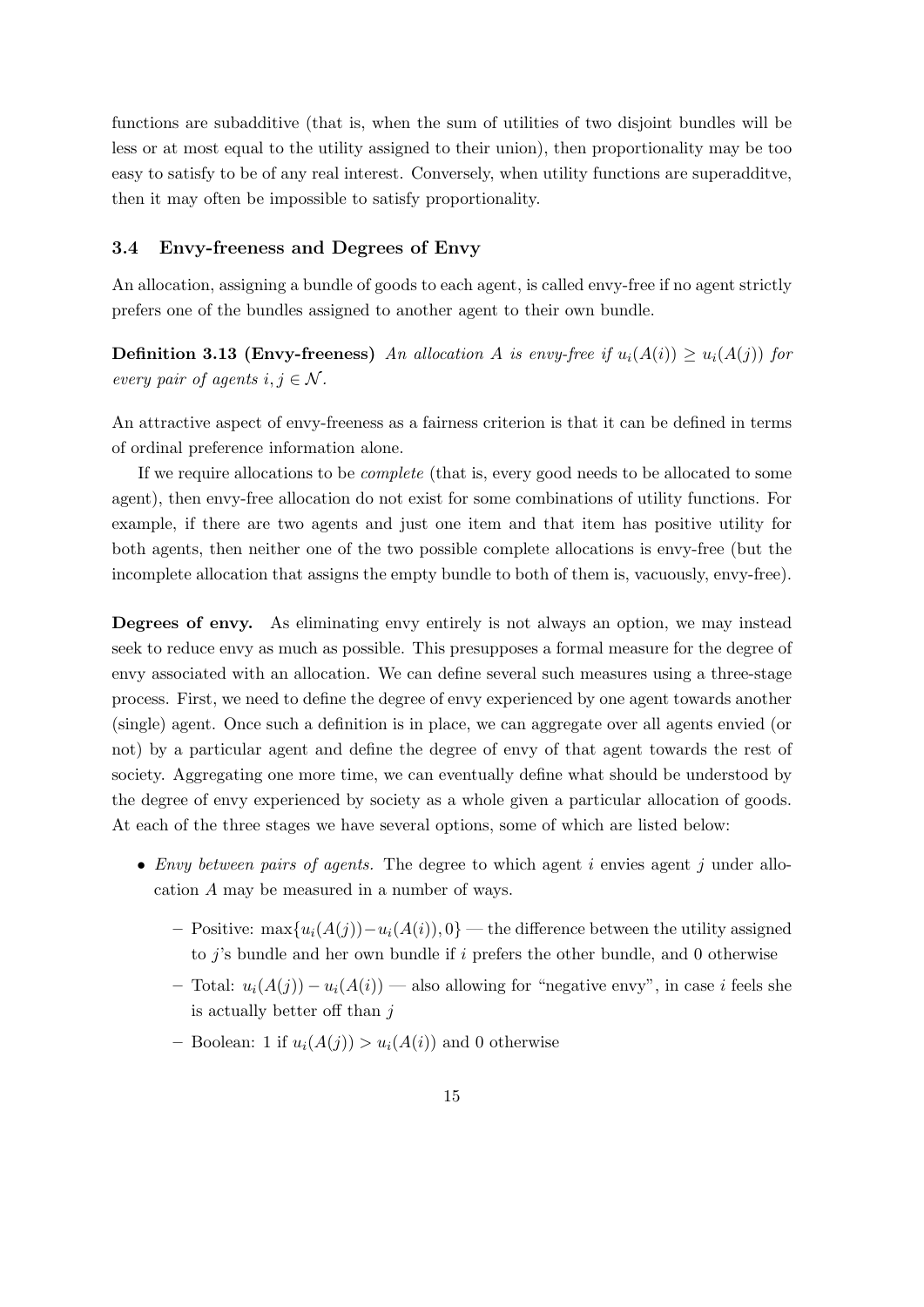functions are subadditive (that is, when the sum of utilities of two disjoint bundles will be less or at most equal to the utility assigned to their union), then proportionality may be too easy to satisfy to be of any real interest. Conversely, when utility functions are superadditve, then it may often be impossible to satisfy proportionality.

#### 3.4 Envy-freeness and Degrees of Envy

An allocation, assigning a bundle of goods to each agent, is called envy-free if no agent strictly prefers one of the bundles assigned to another agent to their own bundle.

**Definition 3.13 (Envy-freeness)** An allocation A is envy-free if  $u_i(A(i)) \geq u_i(A(j))$  for every pair of agents  $i, j \in \mathcal{N}$ .

An attractive aspect of envy-freeness as a fairness criterion is that it can be defined in terms of ordinal preference information alone.

If we require allocations to be complete (that is, every good needs to be allocated to some agent), then envy-free allocation do not exist for some combinations of utility functions. For example, if there are two agents and just one item and that item has positive utility for both agents, then neither one of the two possible complete allocations is envy-free (but the incomplete allocation that assigns the empty bundle to both of them is, vacuously, envy-free).

Degrees of envy. As eliminating envy entirely is not always an option, we may instead seek to reduce envy as much as possible. This presupposes a formal measure for the degree of envy associated with an allocation. We can define several such measures using a three-stage process. First, we need to define the degree of envy experienced by one agent towards another (single) agent. Once such a definition is in place, we can aggregate over all agents envied (or not) by a particular agent and define the degree of envy of that agent towards the rest of society. Aggregating one more time, we can eventually define what should be understood by the degree of envy experienced by society as a whole given a particular allocation of goods. At each of the three stages we have several options, some of which are listed below:

- Envy between pairs of agents. The degree to which agent i envies agent j under allocation A may be measured in a number of ways.
	- Positive: max $\{u_i(A(j)) u_i(A(i)), 0\}$  the difference between the utility assigned to  $j$ 's bundle and her own bundle if i prefers the other bundle, and 0 otherwise
	- Total:  $u_i(A(j)) u_i(A(i))$  also allowing for "negative envy", in case i feels she is actually better off than  $j$
	- Boolean: 1 if  $u_i(A(j)) > u_i(A(i))$  and 0 otherwise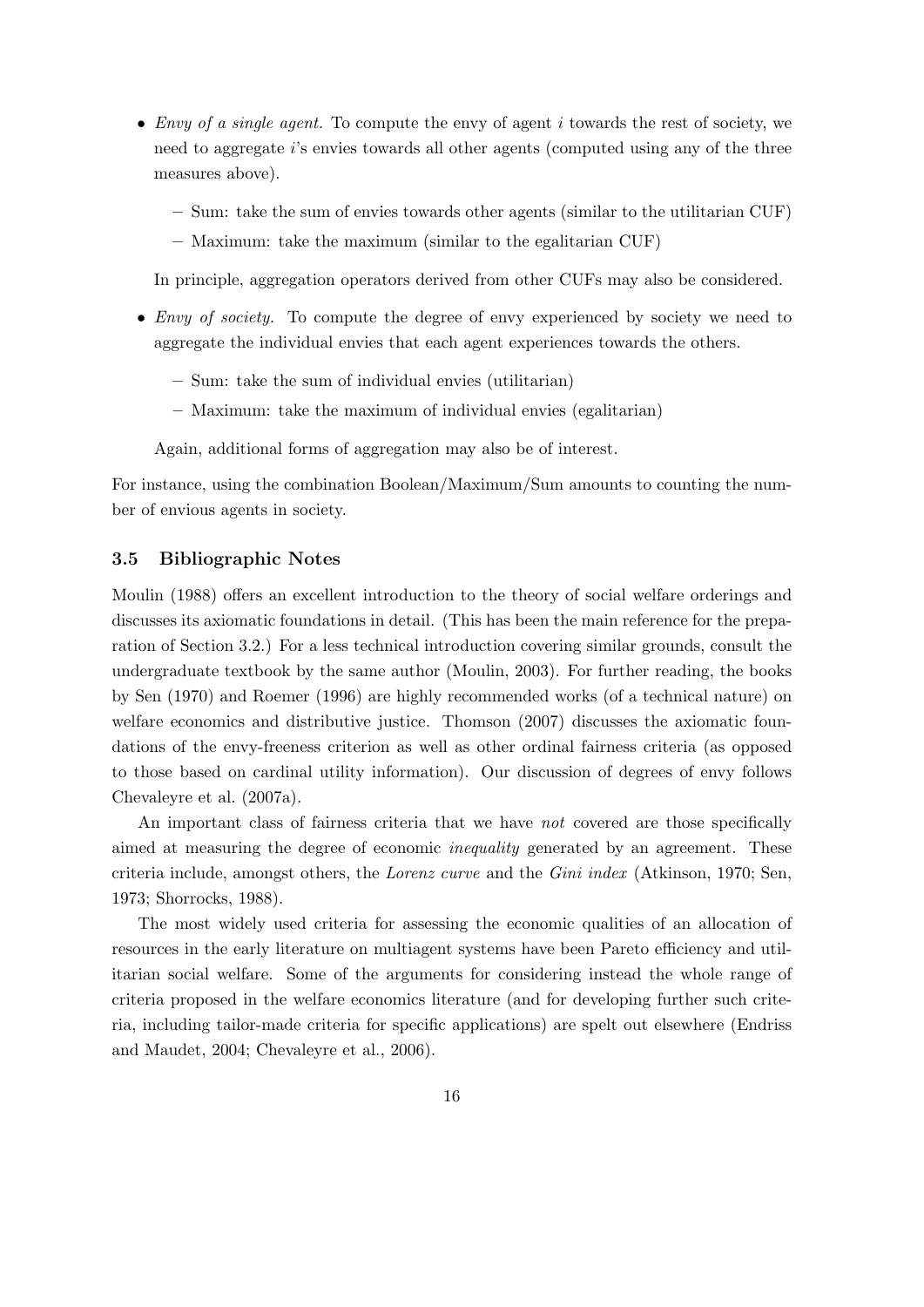- Envy of a single agent. To compute the envy of agent  $i$  towards the rest of society, we need to aggregate i's envies towards all other agents (computed using any of the three measures above).
	- Sum: take the sum of envies towards other agents (similar to the utilitarian CUF)
	- Maximum: take the maximum (similar to the egalitarian CUF)

In principle, aggregation operators derived from other CUFs may also be considered.

- *Envy of society*. To compute the degree of envy experienced by society we need to aggregate the individual envies that each agent experiences towards the others.
	- Sum: take the sum of individual envies (utilitarian)
	- Maximum: take the maximum of individual envies (egalitarian)

Again, additional forms of aggregation may also be of interest.

For instance, using the combination Boolean/Maximum/Sum amounts to counting the number of envious agents in society.

#### 3.5 Bibliographic Notes

Moulin (1988) offers an excellent introduction to the theory of social welfare orderings and discusses its axiomatic foundations in detail. (This has been the main reference for the preparation of Section 3.2.) For a less technical introduction covering similar grounds, consult the undergraduate textbook by the same author (Moulin, 2003). For further reading, the books by Sen (1970) and Roemer (1996) are highly recommended works (of a technical nature) on welfare economics and distributive justice. Thomson (2007) discusses the axiomatic foundations of the envy-freeness criterion as well as other ordinal fairness criteria (as opposed to those based on cardinal utility information). Our discussion of degrees of envy follows Chevaleyre et al. (2007a).

An important class of fairness criteria that we have not covered are those specifically aimed at measuring the degree of economic inequality generated by an agreement. These criteria include, amongst others, the Lorenz curve and the Gini index (Atkinson, 1970; Sen, 1973; Shorrocks, 1988).

The most widely used criteria for assessing the economic qualities of an allocation of resources in the early literature on multiagent systems have been Pareto efficiency and utilitarian social welfare. Some of the arguments for considering instead the whole range of criteria proposed in the welfare economics literature (and for developing further such criteria, including tailor-made criteria for specific applications) are spelt out elsewhere (Endriss and Maudet, 2004; Chevaleyre et al., 2006).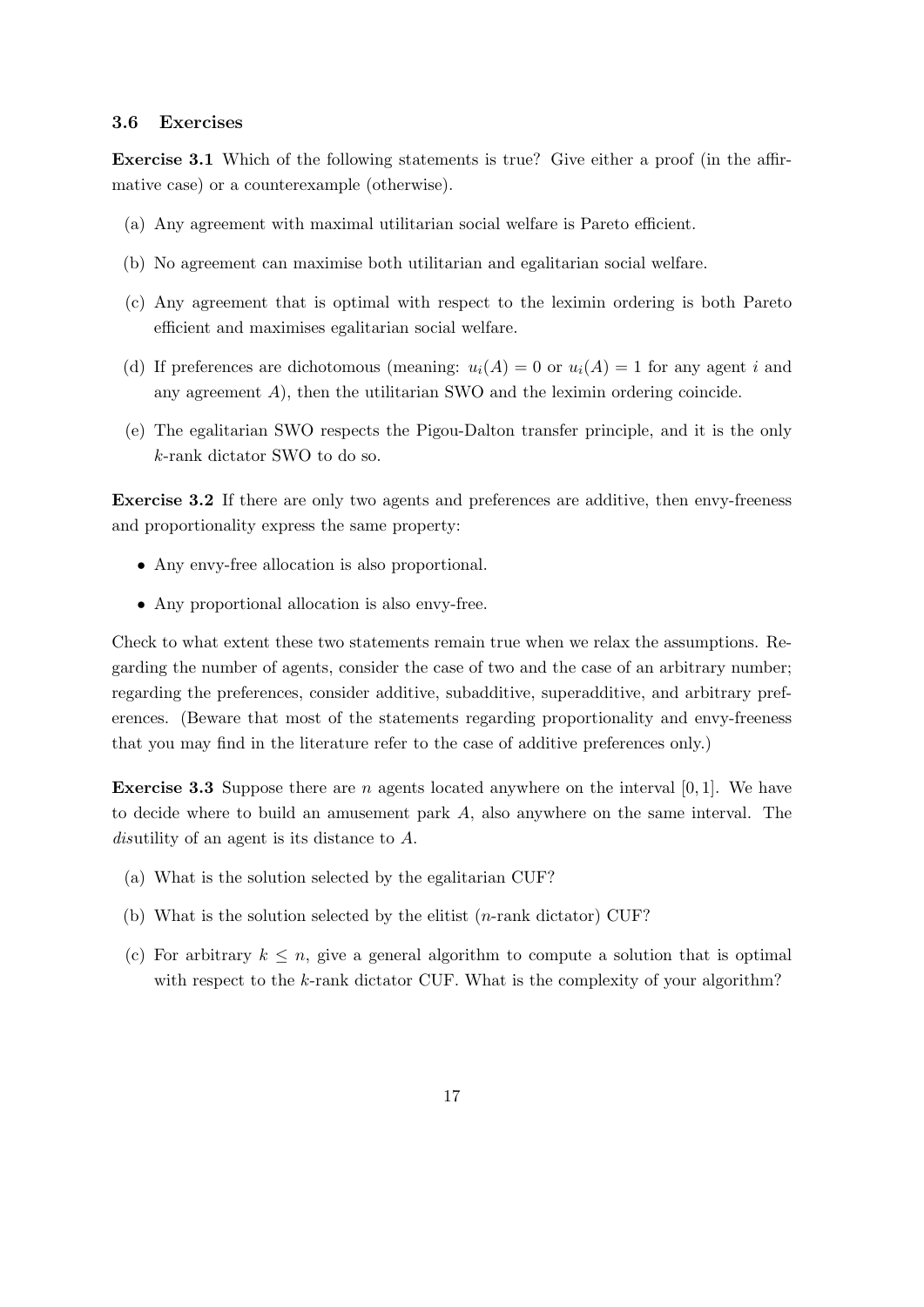#### 3.6 Exercises

Exercise 3.1 Which of the following statements is true? Give either a proof (in the affirmative case) or a counterexample (otherwise).

- (a) Any agreement with maximal utilitarian social welfare is Pareto efficient.
- (b) No agreement can maximise both utilitarian and egalitarian social welfare.
- (c) Any agreement that is optimal with respect to the leximin ordering is both Pareto efficient and maximises egalitarian social welfare.
- (d) If preferences are dichotomous (meaning:  $u_i(A) = 0$  or  $u_i(A) = 1$  for any agent i and any agreement  $A$ ), then the utilitarian SWO and the leximin ordering coincide.
- (e) The egalitarian SWO respects the Pigou-Dalton transfer principle, and it is the only k-rank dictator SWO to do so.

Exercise 3.2 If there are only two agents and preferences are additive, then envy-freeness and proportionality express the same property:

- Any envy-free allocation is also proportional.
- Any proportional allocation is also envy-free.

Check to what extent these two statements remain true when we relax the assumptions. Regarding the number of agents, consider the case of two and the case of an arbitrary number; regarding the preferences, consider additive, subadditive, superadditive, and arbitrary preferences. (Beware that most of the statements regarding proportionality and envy-freeness that you may find in the literature refer to the case of additive preferences only.)

**Exercise 3.3** Suppose there are n agents located anywhere on the interval  $[0, 1]$ . We have to decide where to build an amusement park A, also anywhere on the same interval. The disutility of an agent is its distance to A.

- (a) What is the solution selected by the egalitarian CUF?
- (b) What is the solution selected by the elitist (n-rank dictator) CUF?
- (c) For arbitrary  $k \leq n$ , give a general algorithm to compute a solution that is optimal with respect to the  $k$ -rank dictator CUF. What is the complexity of your algorithm?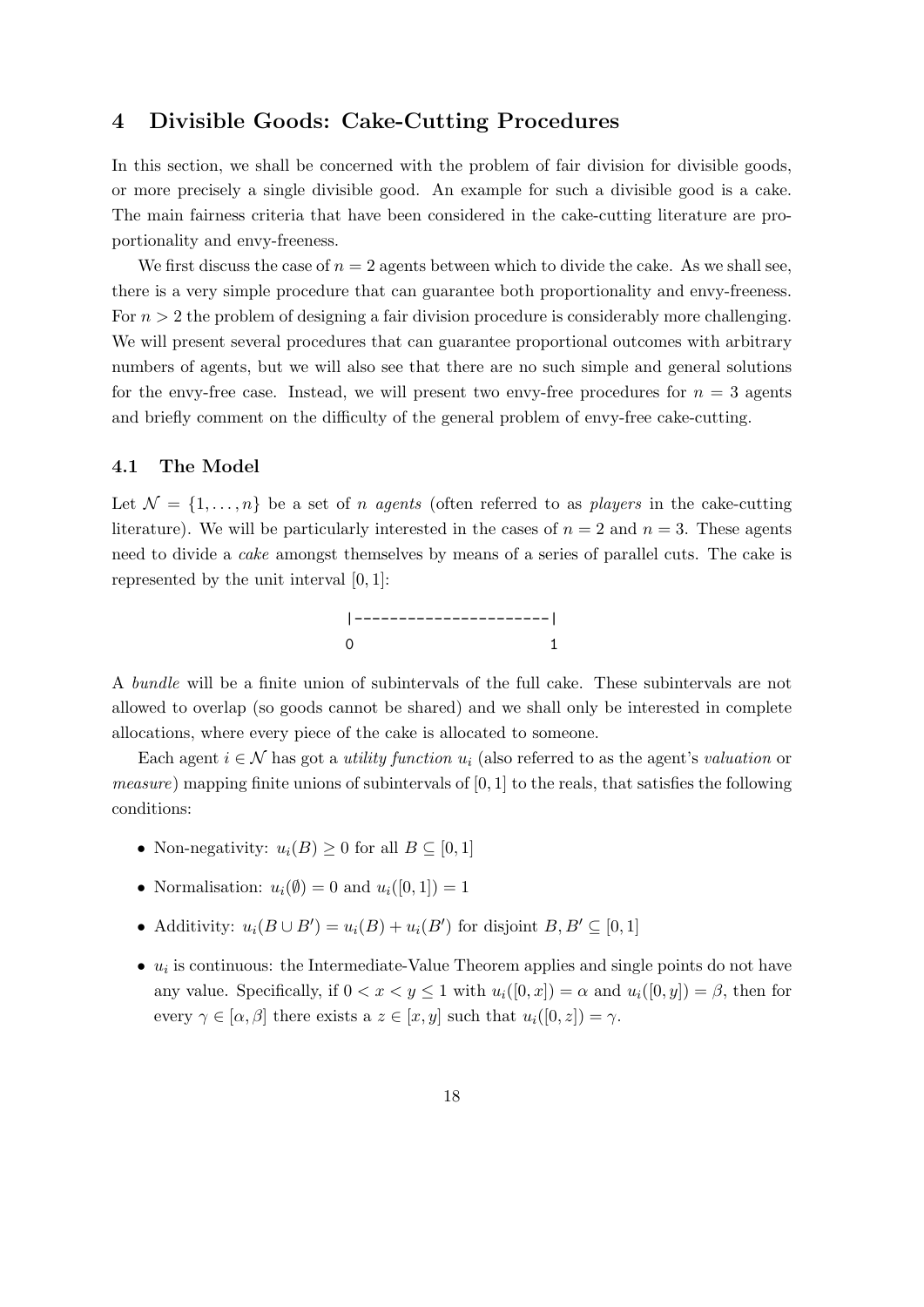## 4 Divisible Goods: Cake-Cutting Procedures

In this section, we shall be concerned with the problem of fair division for divisible goods, or more precisely a single divisible good. An example for such a divisible good is a cake. The main fairness criteria that have been considered in the cake-cutting literature are proportionality and envy-freeness.

We first discuss the case of  $n = 2$  agents between which to divide the cake. As we shall see, there is a very simple procedure that can guarantee both proportionality and envy-freeness. For  $n > 2$  the problem of designing a fair division procedure is considerably more challenging. We will present several procedures that can guarantee proportional outcomes with arbitrary numbers of agents, but we will also see that there are no such simple and general solutions for the envy-free case. Instead, we will present two envy-free procedures for  $n = 3$  agents and briefly comment on the difficulty of the general problem of envy-free cake-cutting.

## 4.1 The Model

Let  $\mathcal{N} = \{1, \ldots, n\}$  be a set of *n agents* (often referred to as *players* in the cake-cutting literature). We will be particularly interested in the cases of  $n = 2$  and  $n = 3$ . These agents need to divide a cake amongst themselves by means of a series of parallel cuts. The cake is represented by the unit interval [0, 1]:



A bundle will be a finite union of subintervals of the full cake. These subintervals are not allowed to overlap (so goods cannot be shared) and we shall only be interested in complete allocations, where every piece of the cake is allocated to someone.

Each agent  $i \in \mathcal{N}$  has got a *utility function*  $u_i$  (also referred to as the agent's valuation or *measure*) mapping finite unions of subintervals of  $[0, 1]$  to the reals, that satisfies the following conditions:

- Non-negativity:  $u_i(B) \geq 0$  for all  $B \subseteq [0,1]$
- Normalisation:  $u_i(\emptyset) = 0$  and  $u_i([0, 1]) = 1$
- Additivity:  $u_i(B \cup B') = u_i(B) + u_i(B')$  for disjoint  $B, B' \subseteq [0, 1]$
- $\bullet$   $u_i$  is continuous: the Intermediate-Value Theorem applies and single points do not have any value. Specifically, if  $0 < x < y \le 1$  with  $u_i([0, x]) = \alpha$  and  $u_i([0, y]) = \beta$ , then for every  $\gamma \in [\alpha, \beta]$  there exists a  $z \in [x, y]$  such that  $u_i([0, z]) = \gamma$ .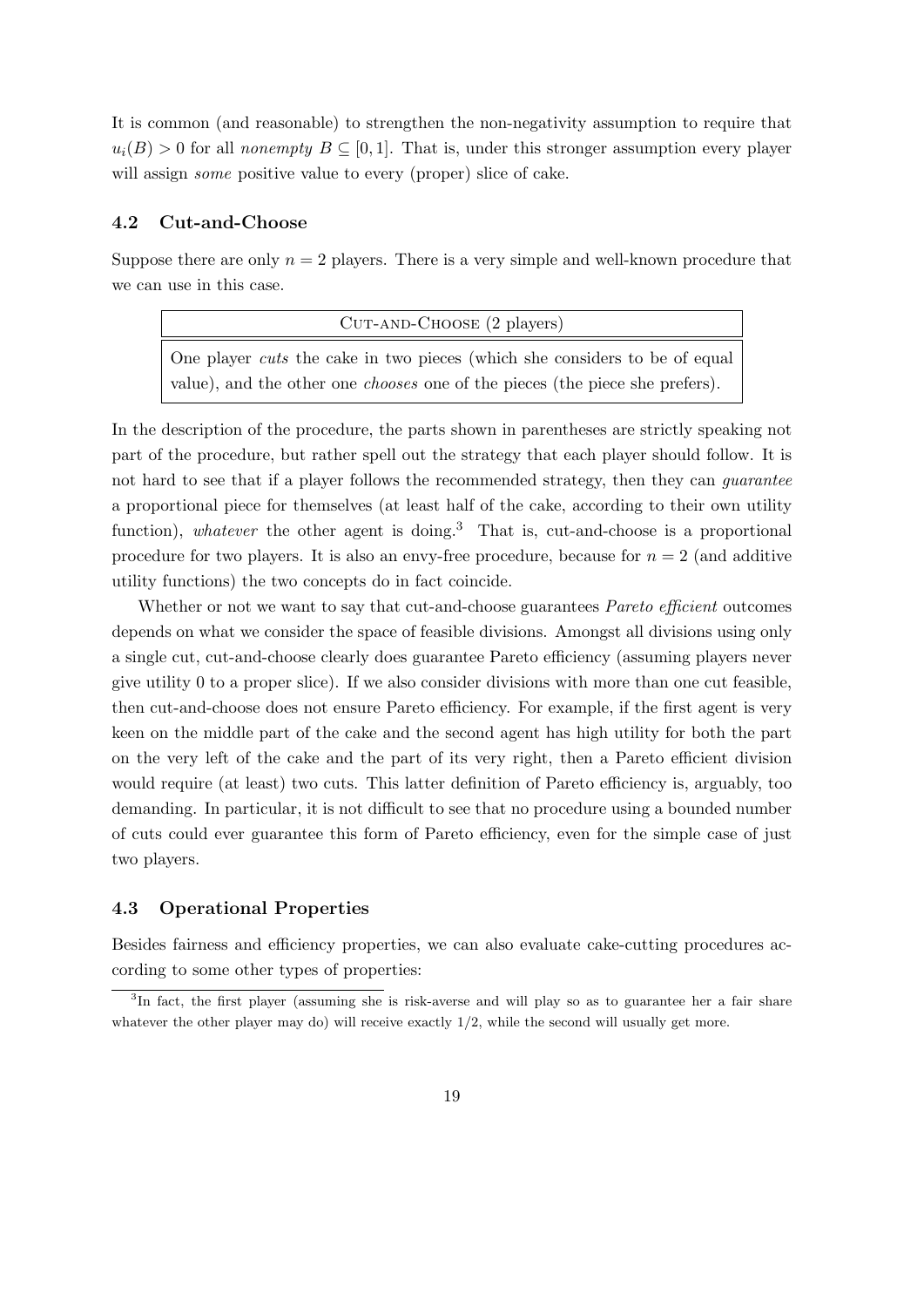It is common (and reasonable) to strengthen the non-negativity assumption to require that  $u_i(B) > 0$  for all nonempty  $B \subseteq [0, 1]$ . That is, under this stronger assumption every player will assign *some* positive value to every (proper) slice of cake.

#### 4.2 Cut-and-Choose

Suppose there are only  $n = 2$  players. There is a very simple and well-known procedure that we can use in this case.

| $CUT-AND-CHOOSE (2 players)$                                                        |  |  |  |  |  |  |  |
|-------------------------------------------------------------------------------------|--|--|--|--|--|--|--|
| One player cuts the cake in two pieces (which she considers to be of equal          |  |  |  |  |  |  |  |
| value), and the other one <i>chooses</i> one of the pieces (the piece she prefers). |  |  |  |  |  |  |  |

In the description of the procedure, the parts shown in parentheses are strictly speaking not part of the procedure, but rather spell out the strategy that each player should follow. It is not hard to see that if a player follows the recommended strategy, then they can *guarantee* a proportional piece for themselves (at least half of the cake, according to their own utility function), whatever the other agent is doing.<sup>3</sup> That is, cut-and-choose is a proportional procedure for two players. It is also an envy-free procedure, because for  $n = 2$  (and additive utility functions) the two concepts do in fact coincide.

Whether or not we want to say that cut-and-choose guarantees *Pareto efficient* outcomes depends on what we consider the space of feasible divisions. Amongst all divisions using only a single cut, cut-and-choose clearly does guarantee Pareto efficiency (assuming players never give utility 0 to a proper slice). If we also consider divisions with more than one cut feasible, then cut-and-choose does not ensure Pareto efficiency. For example, if the first agent is very keen on the middle part of the cake and the second agent has high utility for both the part on the very left of the cake and the part of its very right, then a Pareto efficient division would require (at least) two cuts. This latter definition of Pareto efficiency is, arguably, too demanding. In particular, it is not difficult to see that no procedure using a bounded number of cuts could ever guarantee this form of Pareto efficiency, even for the simple case of just two players.

## 4.3 Operational Properties

Besides fairness and efficiency properties, we can also evaluate cake-cutting procedures according to some other types of properties:

<sup>&</sup>lt;sup>3</sup>In fact, the first player (assuming she is risk-averse and will play so as to guarantee her a fair share whatever the other player may do) will receive exactly  $1/2$ , while the second will usually get more.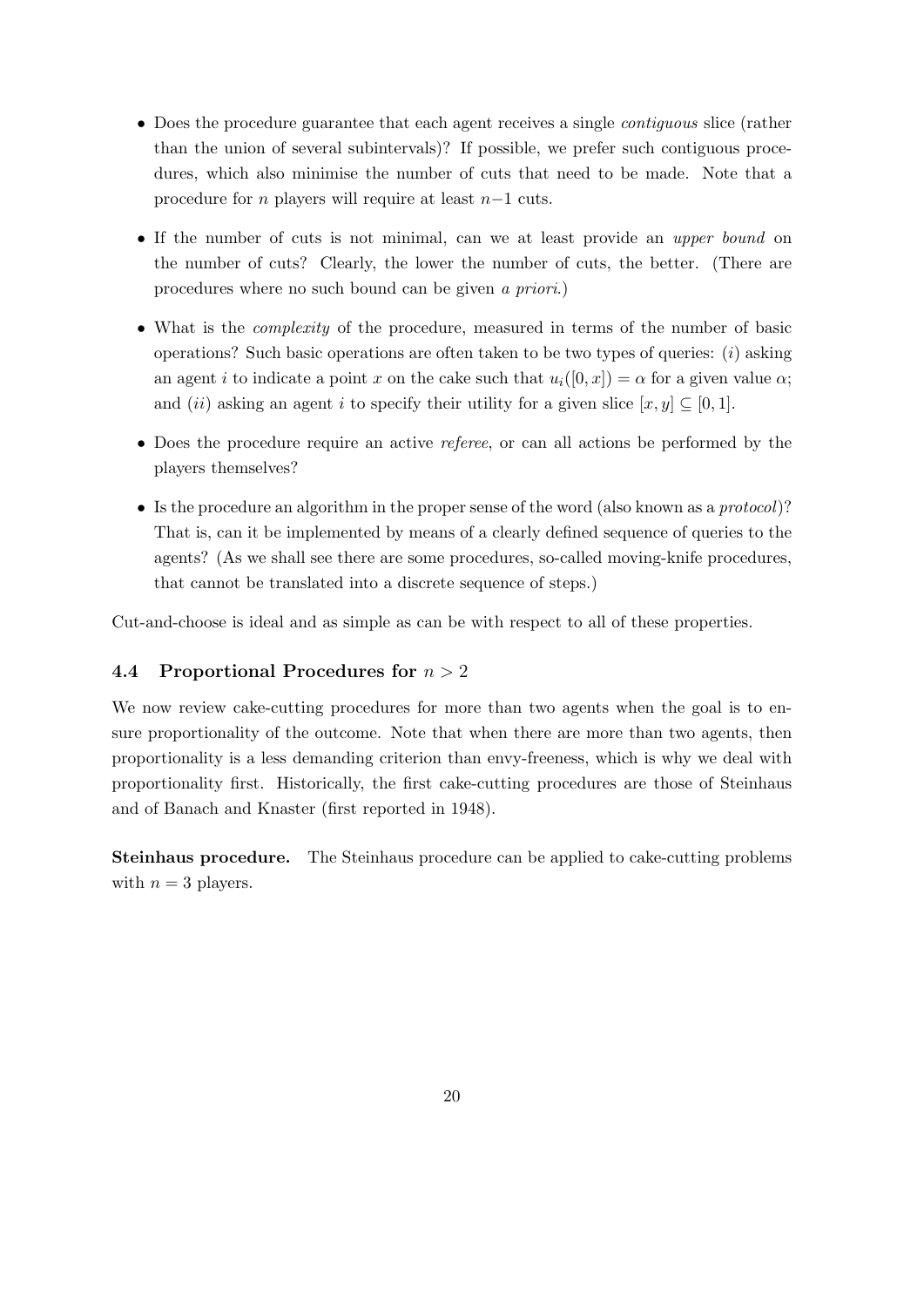- Does the procedure guarantee that each agent receives a single *contiguous* slice (rather than the union of several subintervals)? If possible, we prefer such contiguous procedures, which also minimise the number of cuts that need to be made. Note that a procedure for n players will require at least n−1 cuts.
- If the number of cuts is not minimal, can we at least provide an *upper bound* on the number of cuts? Clearly, the lower the number of cuts, the better. (There are procedures where no such bound can be given a priori.)
- What is the *complexity* of the procedure, measured in terms of the number of basic operations? Such basic operations are often taken to be two types of queries:  $(i)$  asking an agent i to indicate a point x on the cake such that  $u_i([0, x]) = \alpha$  for a given value  $\alpha$ ; and (ii) asking an agent i to specify their utility for a given slice  $[x, y] \subset [0, 1]$ .
- Does the procedure require an active *referee*, or can all actions be performed by the players themselves?
- Is the procedure an algorithm in the proper sense of the word (also known as a protocol)? That is, can it be implemented by means of a clearly defined sequence of queries to the agents? (As we shall see there are some procedures, so-called moving-knife procedures, that cannot be translated into a discrete sequence of steps.)

Cut-and-choose is ideal and as simple as can be with respect to all of these properties.

## 4.4 Proportional Procedures for  $n > 2$

We now review cake-cutting procedures for more than two agents when the goal is to ensure proportionality of the outcome. Note that when there are more than two agents, then proportionality is a less demanding criterion than envy-freeness, which is why we deal with proportionality first. Historically, the first cake-cutting procedures are those of Steinhaus and of Banach and Knaster (first reported in 1948).

Steinhaus procedure. The Steinhaus procedure can be applied to cake-cutting problems with  $n = 3$  players.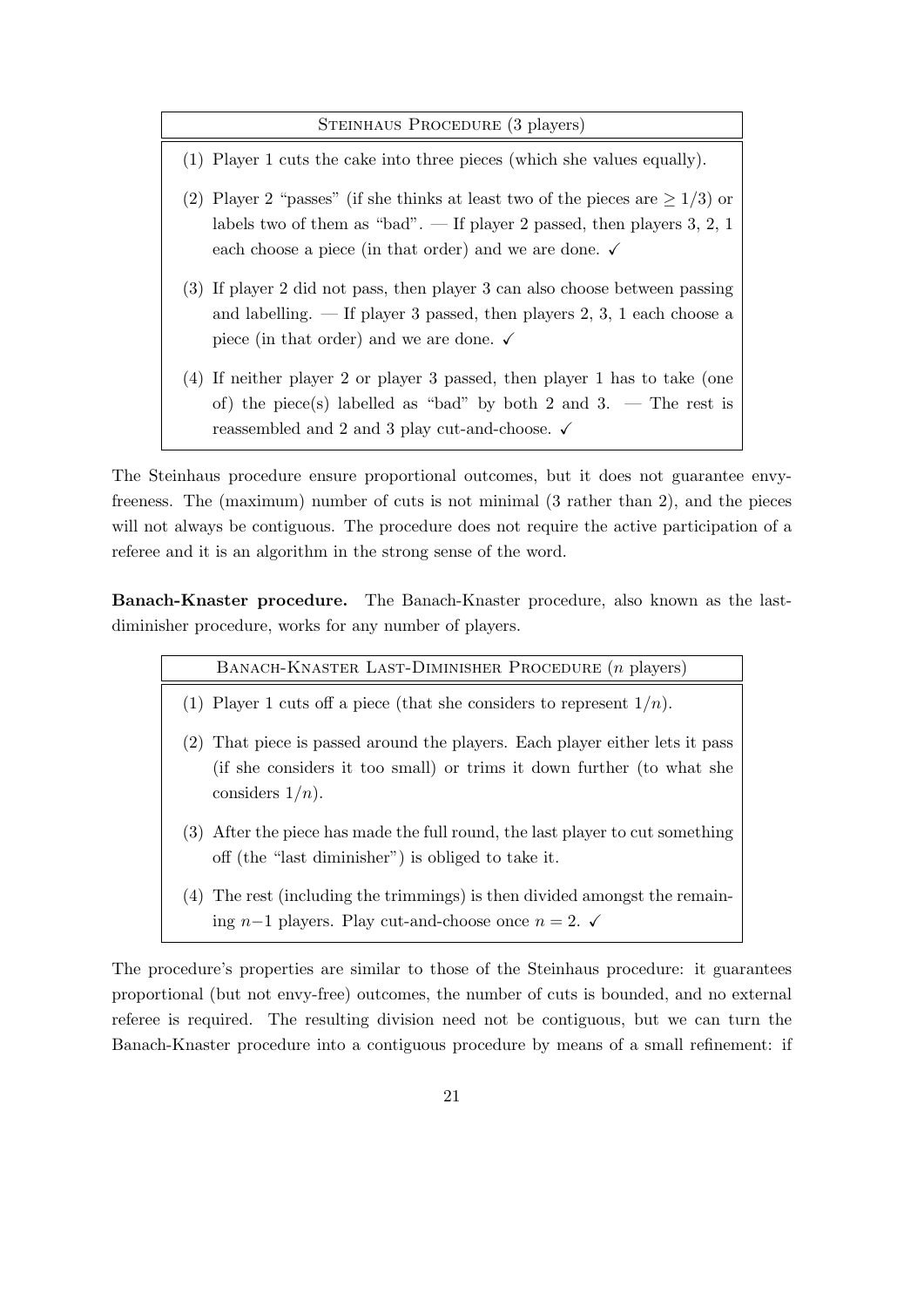#### STEINHAUS PROCEDURE (3 players)

- (1) Player 1 cuts the cake into three pieces (which she values equally).
- (2) Player 2 "passes" (if she thinks at least two of the pieces are  $\geq 1/3$ ) or labels two of them as "bad".  $\overline{\phantom{a}}$  If player 2 passed, then players 3, 2, 1 each choose a piece (in that order) and we are done.  $\checkmark$
- (3) If player 2 did not pass, then player 3 can also choose between passing and labelling. — If player 3 passed, then players 2, 3, 1 each choose a piece (in that order) and we are done.  $\checkmark$
- (4) If neither player 2 or player 3 passed, then player 1 has to take (one of) the piece(s) labelled as "bad" by both 2 and 3. — The rest is reassembled and 2 and 3 play cut-and-choose.  $\checkmark$

The Steinhaus procedure ensure proportional outcomes, but it does not guarantee envyfreeness. The (maximum) number of cuts is not minimal (3 rather than 2), and the pieces will not always be contiguous. The procedure does not require the active participation of a referee and it is an algorithm in the strong sense of the word.

Banach-Knaster procedure. The Banach-Knaster procedure, also known as the lastdiminisher procedure, works for any number of players.

| BANACH-KNASTER LAST-DIMINISHER PROCEDURE ( <i>n</i> players)                                                                                                                   |
|--------------------------------------------------------------------------------------------------------------------------------------------------------------------------------|
| (1) Player 1 cuts off a piece (that she considers to represent $1/n$ ).                                                                                                        |
| That piece is passed around the players. Each player either lets it pass<br>(2)<br>(if she considers it too small) or trims it down further (to what she<br>considers $1/n$ ). |
| (3) After the piece has made the full round, the last player to cut something<br>off (the "last diminisher") is obliged to take it.                                            |
| The rest (including the trimmings) is then divided amongst the remain-<br>(4)                                                                                                  |

ing n−1 players. Play cut-and-choose once  $n = 2$ .  $\checkmark$ 

The procedure's properties are similar to those of the Steinhaus procedure: it guarantees proportional (but not envy-free) outcomes, the number of cuts is bounded, and no external referee is required. The resulting division need not be contiguous, but we can turn the Banach-Knaster procedure into a contiguous procedure by means of a small refinement: if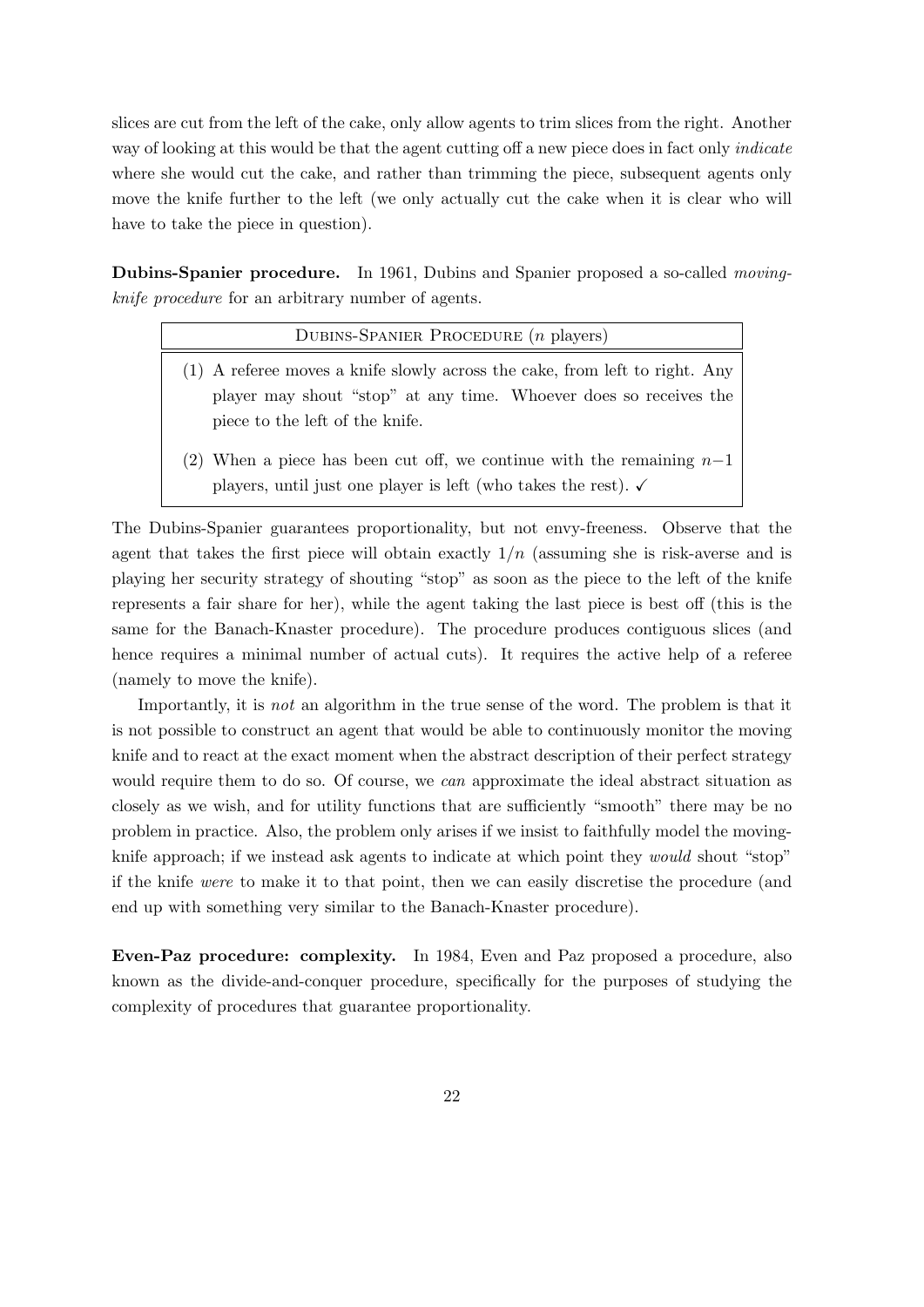slices are cut from the left of the cake, only allow agents to trim slices from the right. Another way of looking at this would be that the agent cutting off a new piece does in fact only *indicate* where she would cut the cake, and rather than trimming the piece, subsequent agents only move the knife further to the left (we only actually cut the cake when it is clear who will have to take the piece in question).

Dubins-Spanier procedure. In 1961, Dubins and Spanier proposed a so-called movingknife procedure for an arbitrary number of agents.

| DUBINS-SPANIER PROCEDURE $(n$ players)                                                                                                                                              |  |  |  |  |  |
|-------------------------------------------------------------------------------------------------------------------------------------------------------------------------------------|--|--|--|--|--|
| (1) A referee moves a knife slowly across the cake, from left to right. Any<br>player may shout "stop" at any time. Whoever does so receives the<br>piece to the left of the knife. |  |  |  |  |  |
| (2) When a piece has been cut off, we continue with the remaining $n-1$                                                                                                             |  |  |  |  |  |

players, until just one player is left (who takes the rest).  $\checkmark$ 

The Dubins-Spanier guarantees proportionality, but not envy-freeness. Observe that the agent that takes the first piece will obtain exactly  $1/n$  (assuming she is risk-averse and is playing her security strategy of shouting "stop" as soon as the piece to the left of the knife represents a fair share for her), while the agent taking the last piece is best off (this is the same for the Banach-Knaster procedure). The procedure produces contiguous slices (and hence requires a minimal number of actual cuts). It requires the active help of a referee (namely to move the knife).

Importantly, it is not an algorithm in the true sense of the word. The problem is that it is not possible to construct an agent that would be able to continuously monitor the moving knife and to react at the exact moment when the abstract description of their perfect strategy would require them to do so. Of course, we *can* approximate the ideal abstract situation as closely as we wish, and for utility functions that are sufficiently "smooth" there may be no problem in practice. Also, the problem only arises if we insist to faithfully model the movingknife approach; if we instead ask agents to indicate at which point they would shout "stop" if the knife were to make it to that point, then we can easily discretise the procedure (and end up with something very similar to the Banach-Knaster procedure).

Even-Paz procedure: complexity. In 1984, Even and Paz proposed a procedure, also known as the divide-and-conquer procedure, specifically for the purposes of studying the complexity of procedures that guarantee proportionality.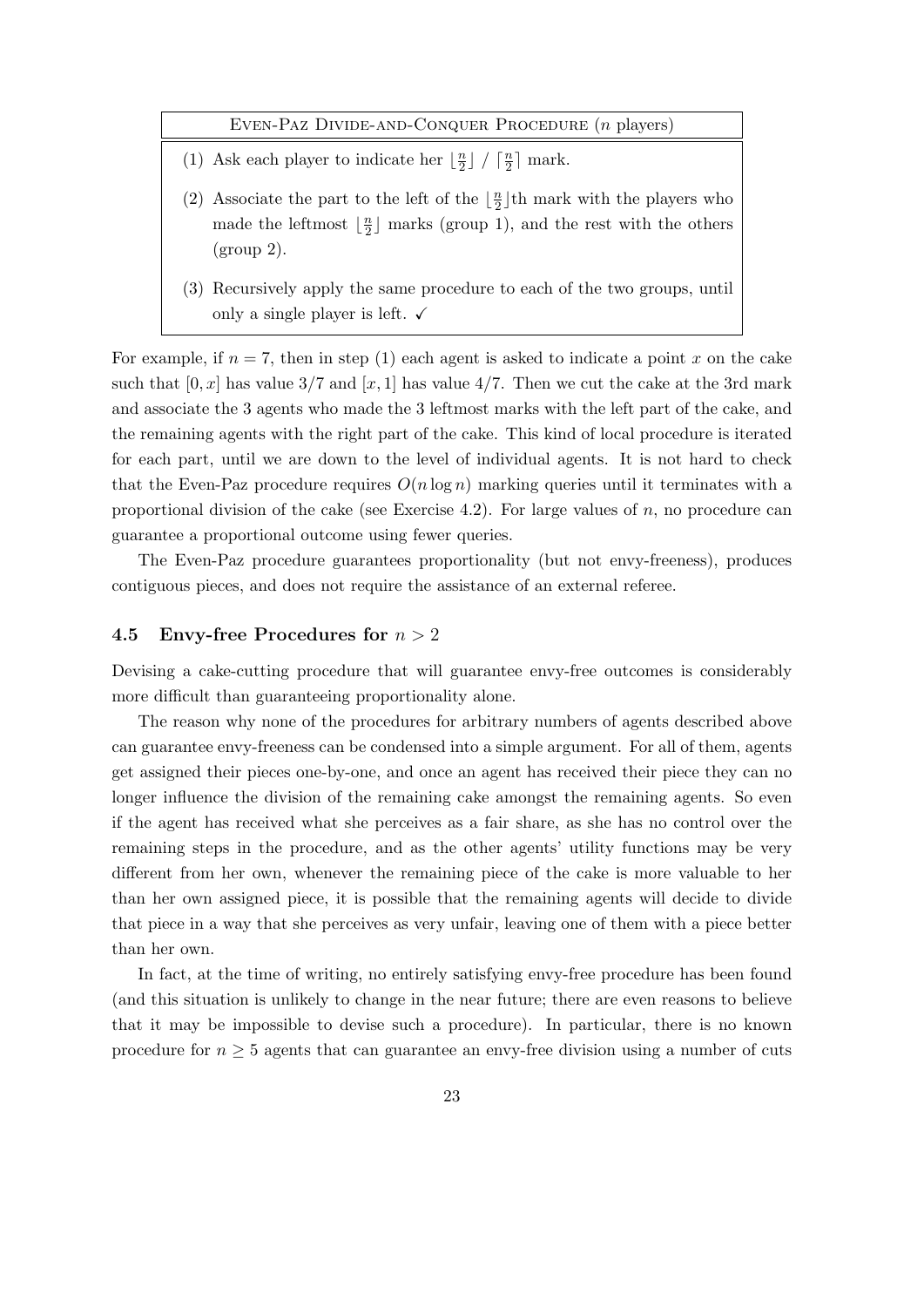Even-Paz Divide-and-Conquer Procedure (n players)

- (1) Ask each player to indicate her  $\frac{n}{2}$  $\frac{n}{2}$   $\int$   $\frac{n}{2}$  $\frac{n}{2}$  mark.
- (2) Associate the part to the left of the  $\frac{n}{2}$  $\frac{n}{2}$  th mark with the players who made the leftmost  $\frac{n}{2}$  $\frac{n}{2}$  marks (group 1), and the rest with the others  $(group 2)$ .
- (3) Recursively apply the same procedure to each of the two groups, until only a single player is left.  $\checkmark$

For example, if  $n = 7$ , then in step (1) each agent is asked to indicate a point x on the cake such that  $[0, x]$  has value 3/7 and  $[x, 1]$  has value 4/7. Then we cut the cake at the 3rd mark and associate the 3 agents who made the 3 leftmost marks with the left part of the cake, and the remaining agents with the right part of the cake. This kind of local procedure is iterated for each part, until we are down to the level of individual agents. It is not hard to check that the Even-Paz procedure requires  $O(n \log n)$  marking queries until it terminates with a proportional division of the cake (see Exercise 4.2). For large values of  $n$ , no procedure can guarantee a proportional outcome using fewer queries.

The Even-Paz procedure guarantees proportionality (but not envy-freeness), produces contiguous pieces, and does not require the assistance of an external referee.

#### 4.5 Envy-free Procedures for  $n > 2$

Devising a cake-cutting procedure that will guarantee envy-free outcomes is considerably more difficult than guaranteeing proportionality alone.

The reason why none of the procedures for arbitrary numbers of agents described above can guarantee envy-freeness can be condensed into a simple argument. For all of them, agents get assigned their pieces one-by-one, and once an agent has received their piece they can no longer influence the division of the remaining cake amongst the remaining agents. So even if the agent has received what she perceives as a fair share, as she has no control over the remaining steps in the procedure, and as the other agents' utility functions may be very different from her own, whenever the remaining piece of the cake is more valuable to her than her own assigned piece, it is possible that the remaining agents will decide to divide that piece in a way that she perceives as very unfair, leaving one of them with a piece better than her own.

In fact, at the time of writing, no entirely satisfying envy-free procedure has been found (and this situation is unlikely to change in the near future; there are even reasons to believe that it may be impossible to devise such a procedure). In particular, there is no known procedure for  $n \geq 5$  agents that can guarantee an envy-free division using a number of cuts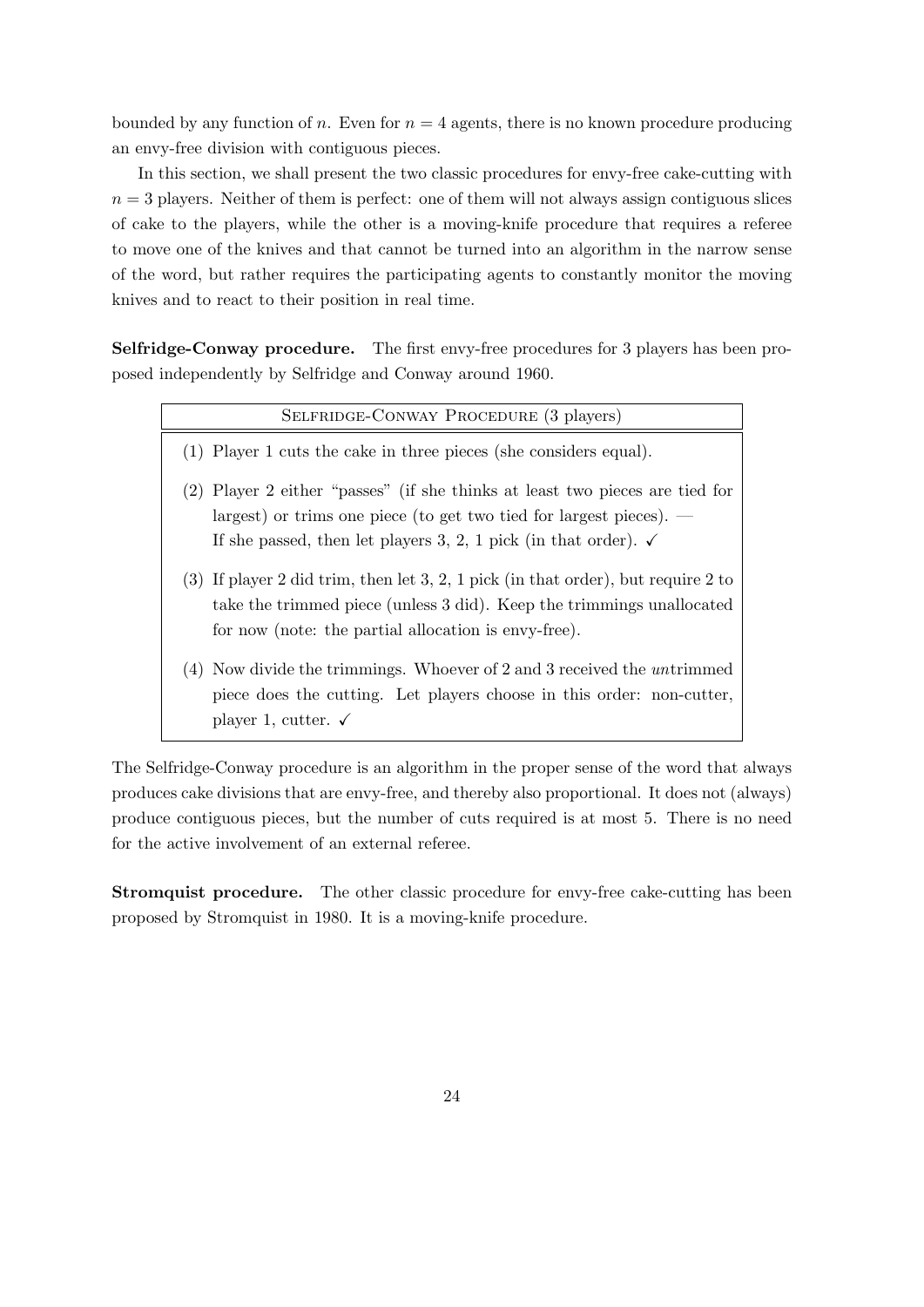bounded by any function of n. Even for  $n = 4$  agents, there is no known procedure producing an envy-free division with contiguous pieces.

In this section, we shall present the two classic procedures for envy-free cake-cutting with  $n = 3$  players. Neither of them is perfect: one of them will not always assign contiguous slices of cake to the players, while the other is a moving-knife procedure that requires a referee to move one of the knives and that cannot be turned into an algorithm in the narrow sense of the word, but rather requires the participating agents to constantly monitor the moving knives and to react to their position in real time.

Selfridge-Conway procedure. The first envy-free procedures for 3 players has been proposed independently by Selfridge and Conway around 1960.

|     | SELFRIDGE-CONWAY PROCEDURE (3 players)                                                                                                                                                                                          |
|-----|---------------------------------------------------------------------------------------------------------------------------------------------------------------------------------------------------------------------------------|
|     | (1) Player 1 cuts the cake in three pieces (she considers equal).                                                                                                                                                               |
| (2) | Player 2 either "passes" (if she thinks at least two pieces are tied for<br>largest) or trims one piece (to get two tied for largest pieces). $-$<br>If she passed, then let players 3, 2, 1 pick (in that order). $\checkmark$ |
|     | $(3)$ If player 2 did trim, then let 3, 2, 1 pick (in that order), but require 2 to<br>take the trimmed piece (unless 3 did). Keep the trimmings unallocated<br>for now (note: the partial allocation is envy-free).            |
| (4) | Now divide the trimmings. Whoever of 2 and 3 received the <i>untrimmed</i><br>piece does the cutting. Let players choose in this order: non-cutter,<br>player 1, cutter. $\checkmark$                                           |

The Selfridge-Conway procedure is an algorithm in the proper sense of the word that always produces cake divisions that are envy-free, and thereby also proportional. It does not (always) produce contiguous pieces, but the number of cuts required is at most 5. There is no need for the active involvement of an external referee.

Stromquist procedure. The other classic procedure for envy-free cake-cutting has been proposed by Stromquist in 1980. It is a moving-knife procedure.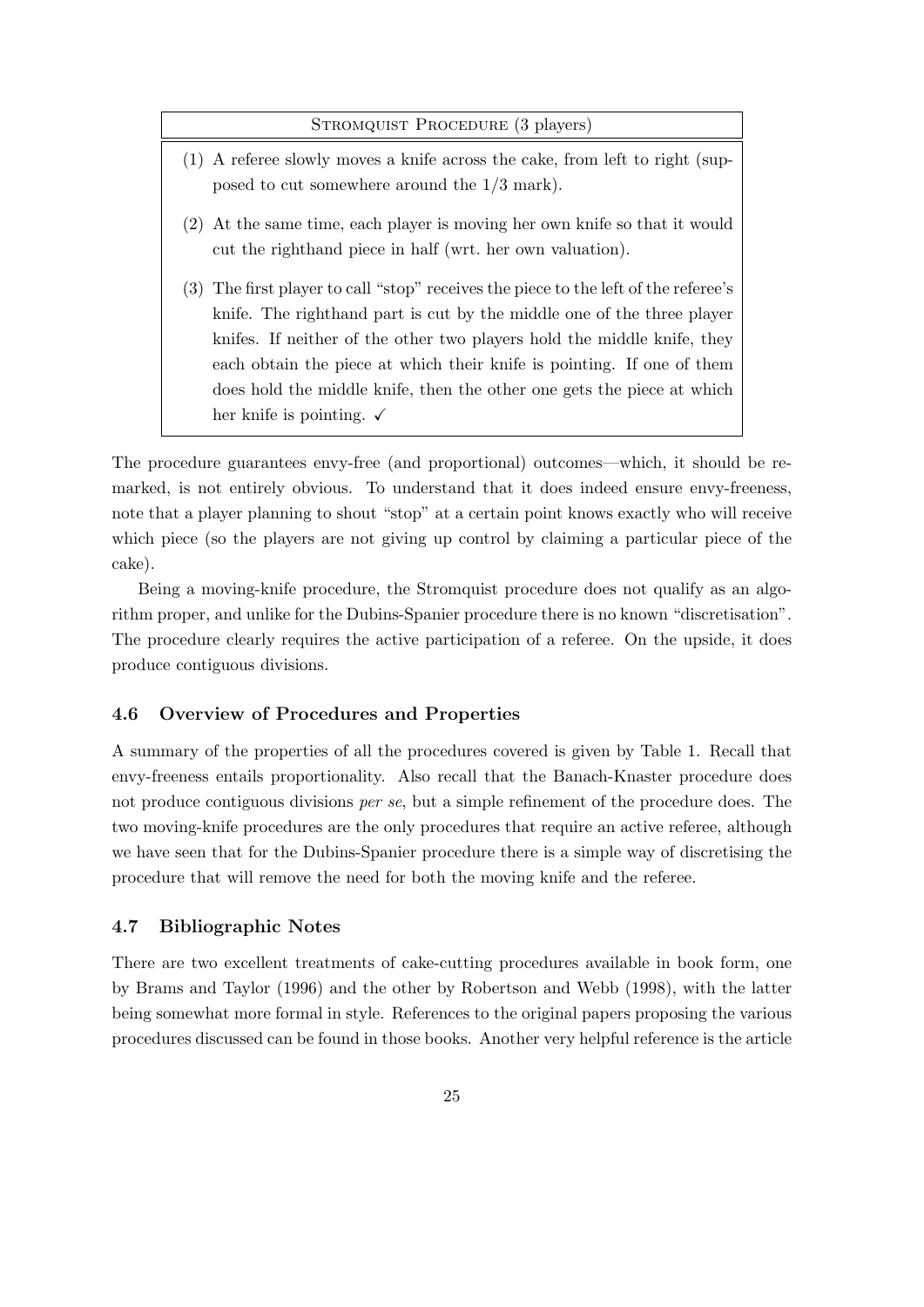#### STROMQUIST PROCEDURE (3 players)

- (1) A referee slowly moves a knife across the cake, from left to right (supposed to cut somewhere around the 1/3 mark).
- (2) At the same time, each player is moving her own knife so that it would cut the righthand piece in half (wrt. her own valuation).
- (3) The first player to call "stop" receives the piece to the left of the referee's knife. The righthand part is cut by the middle one of the three player knifes. If neither of the other two players hold the middle knife, they each obtain the piece at which their knife is pointing. If one of them does hold the middle knife, then the other one gets the piece at which her knife is pointing.  $\checkmark$

The procedure guarantees envy-free (and proportional) outcomes—which, it should be remarked, is not entirely obvious. To understand that it does indeed ensure envy-freeness, note that a player planning to shout "stop" at a certain point knows exactly who will receive which piece (so the players are not giving up control by claiming a particular piece of the cake).

Being a moving-knife procedure, the Stromquist procedure does not qualify as an algorithm proper, and unlike for the Dubins-Spanier procedure there is no known "discretisation". The procedure clearly requires the active participation of a referee. On the upside, it does produce contiguous divisions.

#### 4.6 Overview of Procedures and Properties

A summary of the properties of all the procedures covered is given by Table 1. Recall that envy-freeness entails proportionality. Also recall that the Banach-Knaster procedure does not produce contiguous divisions per se, but a simple refinement of the procedure does. The two moving-knife procedures are the only procedures that require an active referee, although we have seen that for the Dubins-Spanier procedure there is a simple way of discretising the procedure that will remove the need for both the moving knife and the referee.

#### 4.7 Bibliographic Notes

There are two excellent treatments of cake-cutting procedures available in book form, one by Brams and Taylor (1996) and the other by Robertson and Webb (1998), with the latter being somewhat more formal in style. References to the original papers proposing the various procedures discussed can be found in those books. Another very helpful reference is the article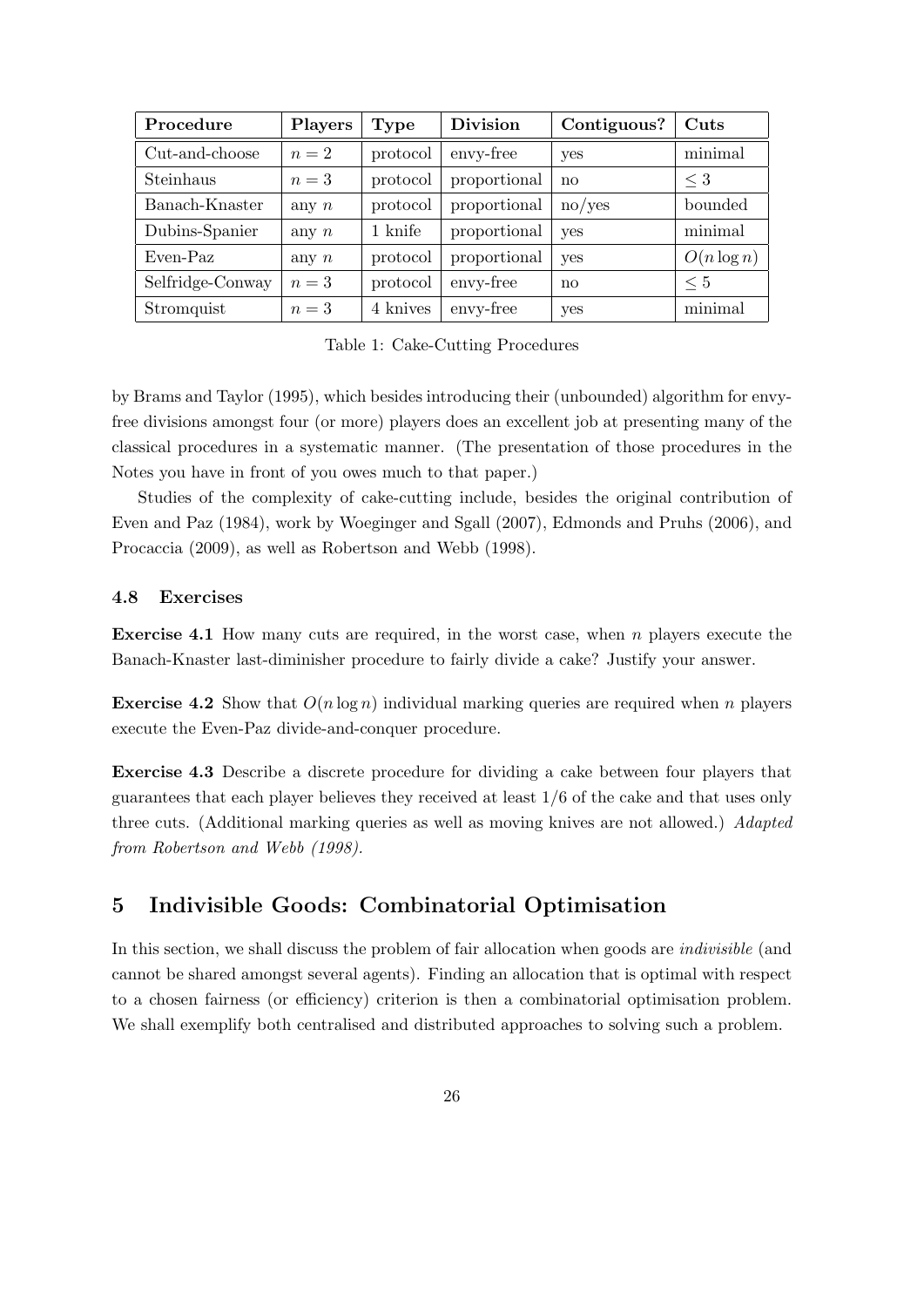| Procedure        | <b>Players</b> | <b>Type</b> | <b>Division</b> | Contiguous? | Cuts          |
|------------------|----------------|-------------|-----------------|-------------|---------------|
| Cut-and-choose   | $n=2$          | protocol    | envy-free       | yes         | minimal       |
| Steinhaus        | $n=3$          | protocol    | proportional    | no          | $\leq 3$      |
| Banach-Knaster   | any $n$        | protocol    | proportional    | no/yes      | bounded       |
| Dubins-Spanier   | any $n$        | 1 knife     | proportional    | yes         | minimal       |
| Even-Paz         | any $n$        | protocol    | proportional    | yes         | $O(n \log n)$ |
| Selfridge-Conway | $n=3$          | protocol    | envy-free       | no          | $\leq 5$      |
| Stromquist       | $n=3$          | 4 knives    | envy-free       | yes         | minimal       |

Table 1: Cake-Cutting Procedures

by Brams and Taylor (1995), which besides introducing their (unbounded) algorithm for envyfree divisions amongst four (or more) players does an excellent job at presenting many of the classical procedures in a systematic manner. (The presentation of those procedures in the Notes you have in front of you owes much to that paper.)

Studies of the complexity of cake-cutting include, besides the original contribution of Even and Paz (1984), work by Woeginger and Sgall (2007), Edmonds and Pruhs (2006), and Procaccia (2009), as well as Robertson and Webb (1998).

#### 4.8 Exercises

**Exercise 4.1** How many cuts are required, in the worst case, when  $n$  players execute the Banach-Knaster last-diminisher procedure to fairly divide a cake? Justify your answer.

**Exercise 4.2** Show that  $O(n \log n)$  individual marking queries are required when n players execute the Even-Paz divide-and-conquer procedure.

Exercise 4.3 Describe a discrete procedure for dividing a cake between four players that guarantees that each player believes they received at least 1/6 of the cake and that uses only three cuts. (Additional marking queries as well as moving knives are not allowed.) Adapted from Robertson and Webb (1998).

# 5 Indivisible Goods: Combinatorial Optimisation

In this section, we shall discuss the problem of fair allocation when goods are *indivisible* (and cannot be shared amongst several agents). Finding an allocation that is optimal with respect to a chosen fairness (or efficiency) criterion is then a combinatorial optimisation problem. We shall exemplify both centralised and distributed approaches to solving such a problem.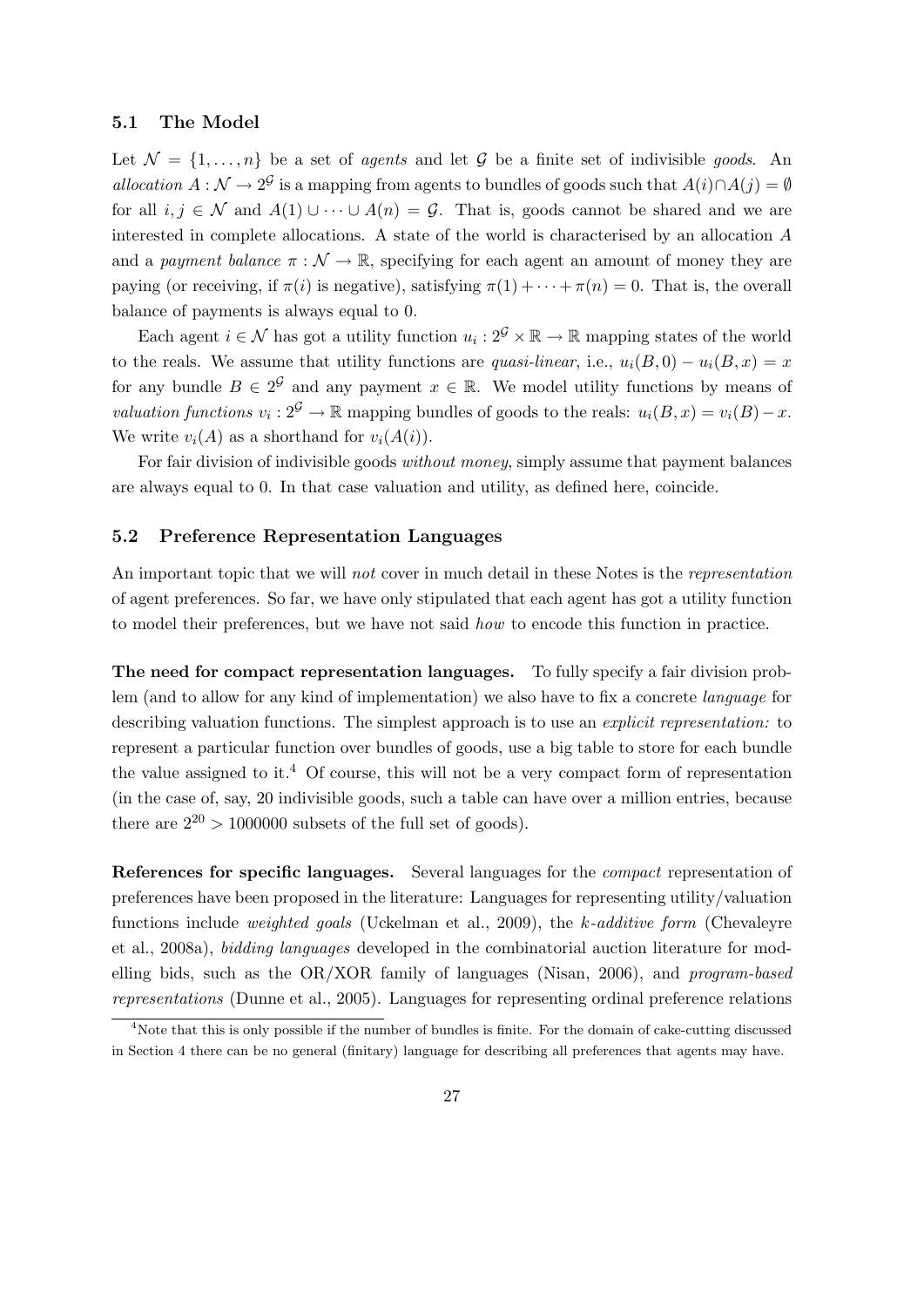#### 5.1 The Model

Let  $\mathcal{N} = \{1, \ldots, n\}$  be a set of *agents* and let  $\mathcal{G}$  be a finite set of indivisible *goods*. An allocation  $A : \mathcal{N} \to 2^{\mathcal{G}}$  is a mapping from agents to bundles of goods such that  $A(i) \cap A(j) = \emptyset$ for all  $i, j \in \mathcal{N}$  and  $A(1) \cup \cdots \cup A(n) = \mathcal{G}$ . That is, goods cannot be shared and we are interested in complete allocations. A state of the world is characterised by an allocation A and a payment balance  $\pi : \mathcal{N} \to \mathbb{R}$ , specifying for each agent an amount of money they are paying (or receiving, if  $\pi(i)$  is negative), satisfying  $\pi(1) + \cdots + \pi(n) = 0$ . That is, the overall balance of payments is always equal to 0.

Each agent  $i \in \mathcal{N}$  has got a utility function  $u_i : 2^{\mathcal{G}} \times \mathbb{R} \to \mathbb{R}$  mapping states of the world to the reals. We assume that utility functions are quasi-linear, i.e.,  $u_i(B, 0) - u_i(B, x) = x$ for any bundle  $B \in 2^{\mathcal{G}}$  and any payment  $x \in \mathbb{R}$ . We model utility functions by means of valuation functions  $v_i : 2^{\mathcal{G}} \to \mathbb{R}$  mapping bundles of goods to the reals:  $u_i(B, x) = v_i(B) - x$ . We write  $v_i(A)$  as a shorthand for  $v_i(A(i))$ .

For fair division of indivisible goods without money, simply assume that payment balances are always equal to 0. In that case valuation and utility, as defined here, coincide.

### 5.2 Preference Representation Languages

An important topic that we will not cover in much detail in these Notes is the representation of agent preferences. So far, we have only stipulated that each agent has got a utility function to model their preferences, but we have not said how to encode this function in practice.

The need for compact representation languages. To fully specify a fair division problem (and to allow for any kind of implementation) we also have to fix a concrete language for describing valuation functions. The simplest approach is to use an *explicit representation*: to represent a particular function over bundles of goods, use a big table to store for each bundle the value assigned to it.<sup>4</sup> Of course, this will not be a very compact form of representation (in the case of, say, 20 indivisible goods, such a table can have over a million entries, because there are  $2^{20} > 1000000$  subsets of the full set of goods).

References for specific languages. Several languages for the *compact* representation of preferences have been proposed in the literature: Languages for representing utility/valuation functions include weighted goals (Uckelman et al., 2009), the k-additive form (Chevaleyre et al., 2008a), bidding languages developed in the combinatorial auction literature for modelling bids, such as the OR/XOR family of languages (Nisan, 2006), and program-based representations (Dunne et al., 2005). Languages for representing ordinal preference relations

<sup>4</sup>Note that this is only possible if the number of bundles is finite. For the domain of cake-cutting discussed in Section 4 there can be no general (finitary) language for describing all preferences that agents may have.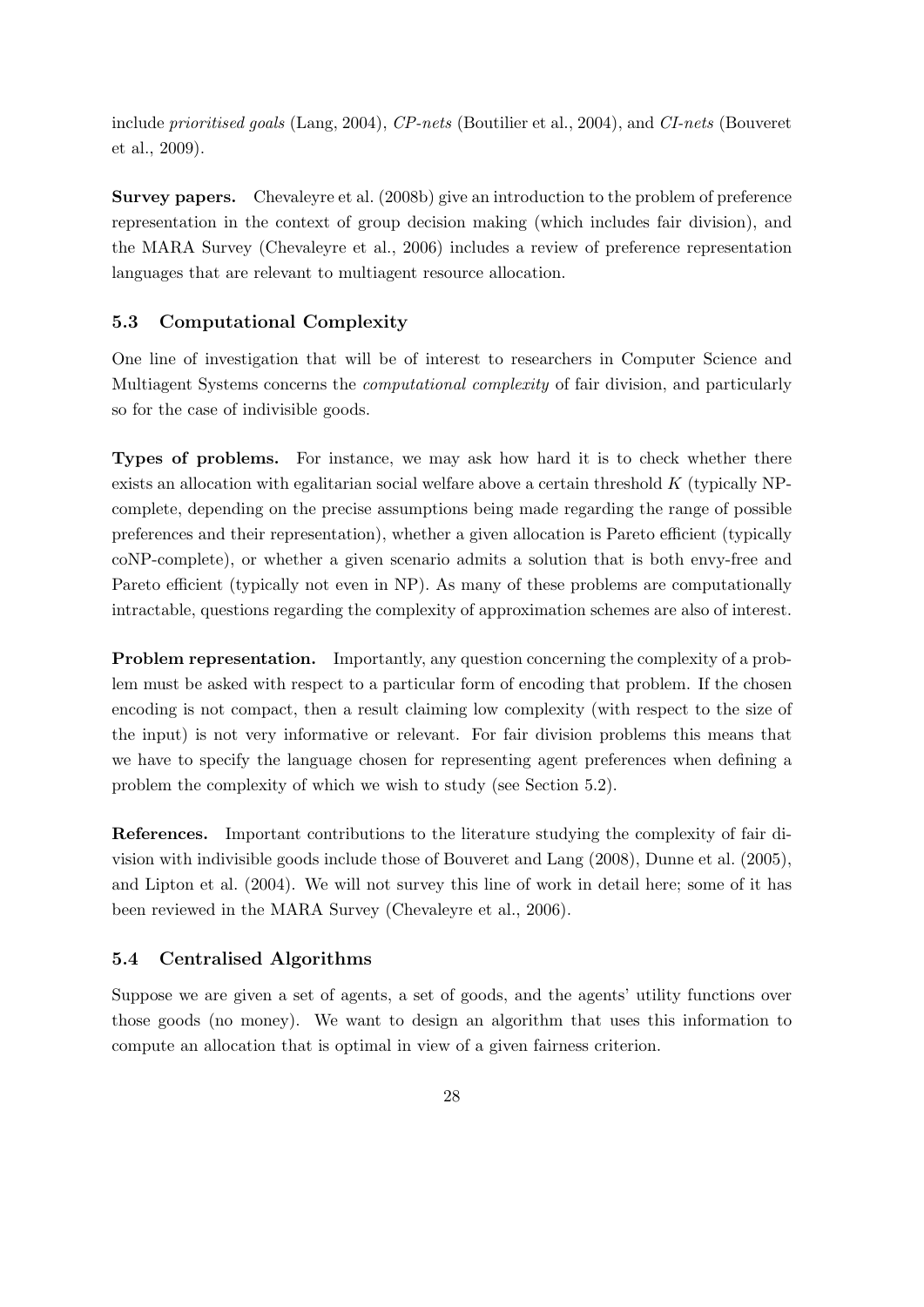include prioritised goals (Lang, 2004), CP-nets (Boutilier et al., 2004), and CI-nets (Bouveret et al., 2009).

Survey papers. Chevaleyre et al. (2008b) give an introduction to the problem of preference representation in the context of group decision making (which includes fair division), and the MARA Survey (Chevaleyre et al., 2006) includes a review of preference representation languages that are relevant to multiagent resource allocation.

## 5.3 Computational Complexity

One line of investigation that will be of interest to researchers in Computer Science and Multiagent Systems concerns the computational complexity of fair division, and particularly so for the case of indivisible goods.

Types of problems. For instance, we may ask how hard it is to check whether there exists an allocation with egalitarian social welfare above a certain threshold  $K$  (typically NPcomplete, depending on the precise assumptions being made regarding the range of possible preferences and their representation), whether a given allocation is Pareto efficient (typically coNP-complete), or whether a given scenario admits a solution that is both envy-free and Pareto efficient (typically not even in NP). As many of these problems are computationally intractable, questions regarding the complexity of approximation schemes are also of interest.

Problem representation. Importantly, any question concerning the complexity of a problem must be asked with respect to a particular form of encoding that problem. If the chosen encoding is not compact, then a result claiming low complexity (with respect to the size of the input) is not very informative or relevant. For fair division problems this means that we have to specify the language chosen for representing agent preferences when defining a problem the complexity of which we wish to study (see Section 5.2).

References. Important contributions to the literature studying the complexity of fair division with indivisible goods include those of Bouveret and Lang (2008), Dunne et al. (2005), and Lipton et al. (2004). We will not survey this line of work in detail here; some of it has been reviewed in the MARA Survey (Chevaleyre et al., 2006).

## 5.4 Centralised Algorithms

Suppose we are given a set of agents, a set of goods, and the agents' utility functions over those goods (no money). We want to design an algorithm that uses this information to compute an allocation that is optimal in view of a given fairness criterion.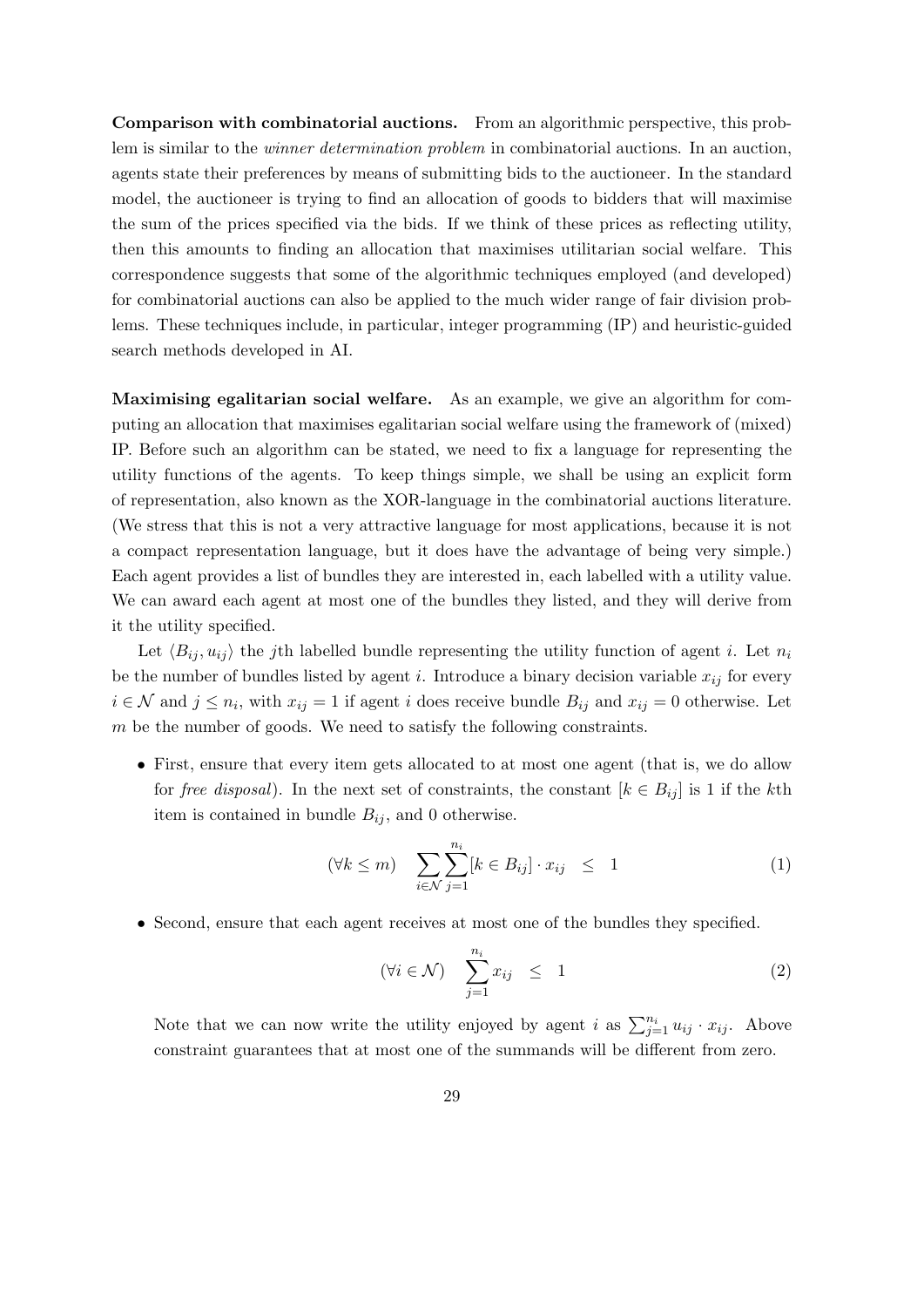Comparison with combinatorial auctions. From an algorithmic perspective, this problem is similar to the winner determination problem in combinatorial auctions. In an auction, agents state their preferences by means of submitting bids to the auctioneer. In the standard model, the auctioneer is trying to find an allocation of goods to bidders that will maximise the sum of the prices specified via the bids. If we think of these prices as reflecting utility, then this amounts to finding an allocation that maximises utilitarian social welfare. This correspondence suggests that some of the algorithmic techniques employed (and developed) for combinatorial auctions can also be applied to the much wider range of fair division problems. These techniques include, in particular, integer programming (IP) and heuristic-guided search methods developed in AI.

Maximising egalitarian social welfare. As an example, we give an algorithm for computing an allocation that maximises egalitarian social welfare using the framework of (mixed) IP. Before such an algorithm can be stated, we need to fix a language for representing the utility functions of the agents. To keep things simple, we shall be using an explicit form of representation, also known as the XOR-language in the combinatorial auctions literature. (We stress that this is not a very attractive language for most applications, because it is not a compact representation language, but it does have the advantage of being very simple.) Each agent provides a list of bundles they are interested in, each labelled with a utility value. We can award each agent at most one of the bundles they listed, and they will derive from it the utility specified.

Let  $\langle B_{ij}, u_{ij} \rangle$  the jth labelled bundle representing the utility function of agent i. Let  $n_i$ be the number of bundles listed by agent i. Introduce a binary decision variable  $x_{ij}$  for every  $i \in \mathcal{N}$  and  $j \leq n_i$ , with  $x_{ij} = 1$  if agent i does receive bundle  $B_{ij}$  and  $x_{ij} = 0$  otherwise. Let m be the number of goods. We need to satisfy the following constraints.

• First, ensure that every item gets allocated to at most one agent (that is, we do allow for free disposal). In the next set of constraints, the constant  $[k \in B_{ij}]$  is 1 if the kth item is contained in bundle  $B_{ij}$ , and 0 otherwise.

$$
(\forall k \leq m) \quad \sum_{i \in \mathcal{N}} \sum_{j=1}^{n_i} [k \in B_{ij}] \cdot x_{ij} \leq 1 \tag{1}
$$

• Second, ensure that each agent receives at most one of the bundles they specified.

$$
(\forall i \in \mathcal{N}) \quad \sum_{j=1}^{n_i} x_{ij} \leq 1 \tag{2}
$$

Note that we can now write the utility enjoyed by agent i as  $\sum_{j=1}^{n_i} u_{ij} \cdot x_{ij}$ . Above constraint guarantees that at most one of the summands will be different from zero.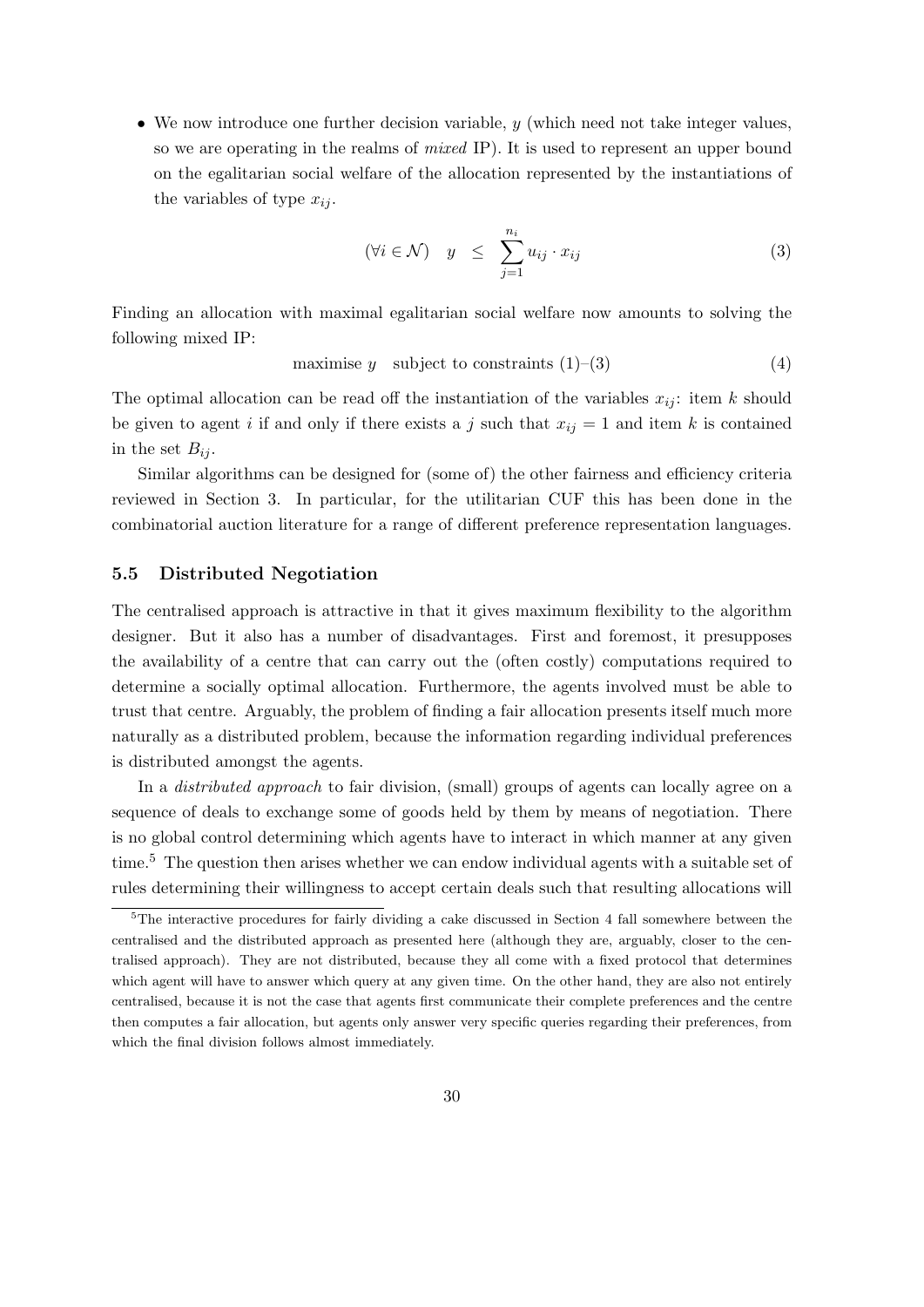• We now introduce one further decision variable, y (which need not take integer values, so we are operating in the realms of *mixed IP*). It is used to represent an upper bound on the egalitarian social welfare of the allocation represented by the instantiations of the variables of type  $x_{ii}$ .

$$
(\forall i \in \mathcal{N}) \quad y \leq \sum_{j=1}^{n_i} u_{ij} \cdot x_{ij} \tag{3}
$$

Finding an allocation with maximal egalitarian social welfare now amounts to solving the following mixed IP:

maximise 
$$
y
$$
 subject to constraints (1)–(3) (4)

The optimal allocation can be read off the instantiation of the variables  $x_{ij}$ : item k should be given to agent i if and only if there exists a j such that  $x_{ij} = 1$  and item k is contained in the set  $B_{ij}$ .

Similar algorithms can be designed for (some of) the other fairness and efficiency criteria reviewed in Section 3. In particular, for the utilitarian CUF this has been done in the combinatorial auction literature for a range of different preference representation languages.

#### 5.5 Distributed Negotiation

The centralised approach is attractive in that it gives maximum flexibility to the algorithm designer. But it also has a number of disadvantages. First and foremost, it presupposes the availability of a centre that can carry out the (often costly) computations required to determine a socially optimal allocation. Furthermore, the agents involved must be able to trust that centre. Arguably, the problem of finding a fair allocation presents itself much more naturally as a distributed problem, because the information regarding individual preferences is distributed amongst the agents.

In a distributed approach to fair division, (small) groups of agents can locally agree on a sequence of deals to exchange some of goods held by them by means of negotiation. There is no global control determining which agents have to interact in which manner at any given time.<sup>5</sup> The question then arises whether we can endow individual agents with a suitable set of rules determining their willingness to accept certain deals such that resulting allocations will

 $5$ The interactive procedures for fairly dividing a cake discussed in Section 4 fall somewhere between the centralised and the distributed approach as presented here (although they are, arguably, closer to the centralised approach). They are not distributed, because they all come with a fixed protocol that determines which agent will have to answer which query at any given time. On the other hand, they are also not entirely centralised, because it is not the case that agents first communicate their complete preferences and the centre then computes a fair allocation, but agents only answer very specific queries regarding their preferences, from which the final division follows almost immediately.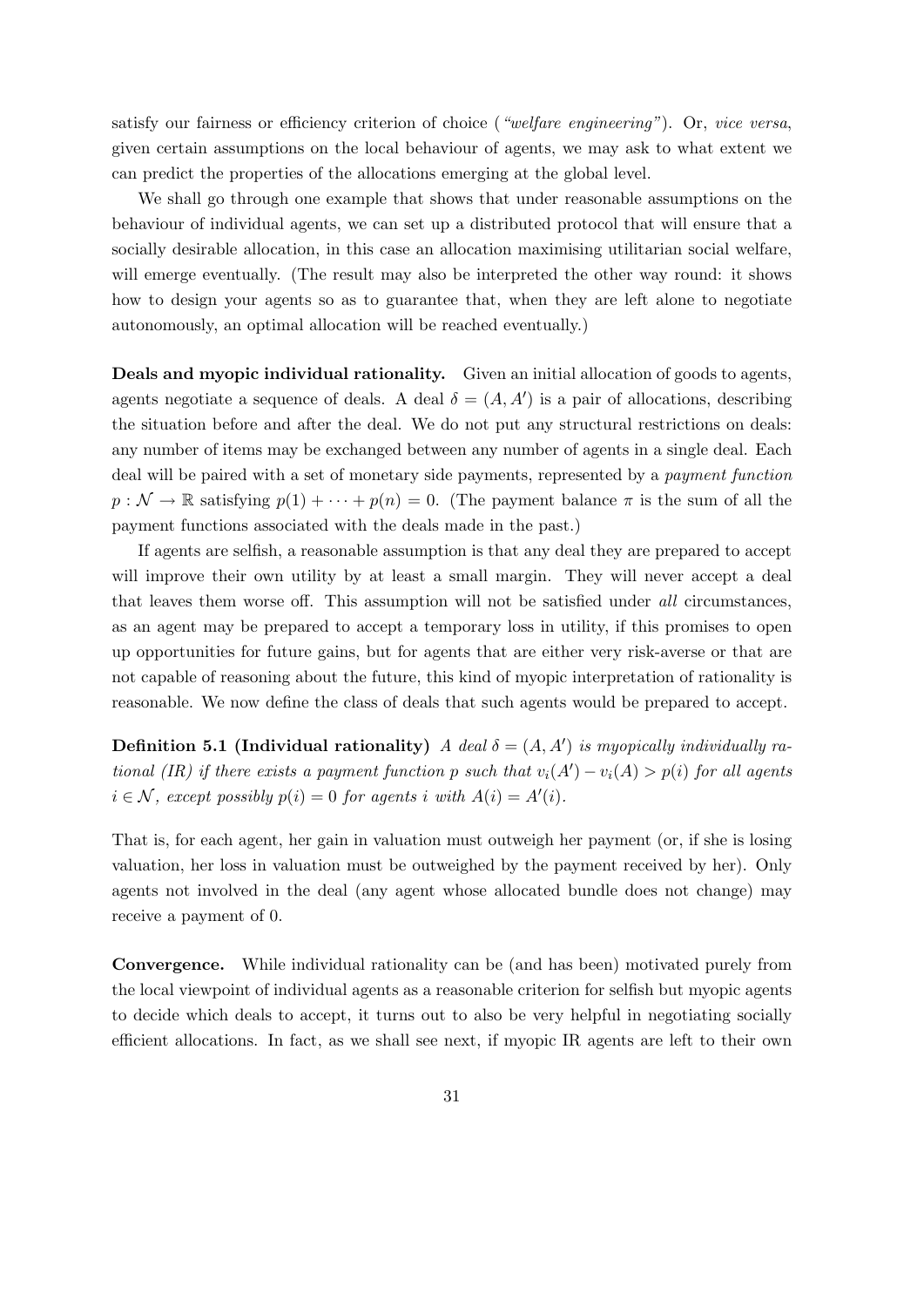satisfy our fairness or efficiency criterion of choice (*"welfare engineering"*). Or, *vice versa*, given certain assumptions on the local behaviour of agents, we may ask to what extent we can predict the properties of the allocations emerging at the global level.

We shall go through one example that shows that under reasonable assumptions on the behaviour of individual agents, we can set up a distributed protocol that will ensure that a socially desirable allocation, in this case an allocation maximising utilitarian social welfare, will emerge eventually. (The result may also be interpreted the other way round: it shows how to design your agents so as to guarantee that, when they are left alone to negotiate autonomously, an optimal allocation will be reached eventually.)

Deals and myopic individual rationality. Given an initial allocation of goods to agents, agents negotiate a sequence of deals. A deal  $\delta = (A, A')$  is a pair of allocations, describing the situation before and after the deal. We do not put any structural restrictions on deals: any number of items may be exchanged between any number of agents in a single deal. Each deal will be paired with a set of monetary side payments, represented by a payment function  $p : \mathcal{N} \to \mathbb{R}$  satisfying  $p(1) + \cdots + p(n) = 0$ . (The payment balance  $\pi$  is the sum of all the payment functions associated with the deals made in the past.)

If agents are selfish, a reasonable assumption is that any deal they are prepared to accept will improve their own utility by at least a small margin. They will never accept a deal that leaves them worse off. This assumption will not be satisfied under all circumstances, as an agent may be prepared to accept a temporary loss in utility, if this promises to open up opportunities for future gains, but for agents that are either very risk-averse or that are not capable of reasoning about the future, this kind of myopic interpretation of rationality is reasonable. We now define the class of deals that such agents would be prepared to accept.

**Definition 5.1 (Individual rationality)** A deal  $\delta = (A, A')$  is myopically individually rational (IR) if there exists a payment function p such that  $v_i(A') - v_i(A) > p(i)$  for all agents  $i \in \mathcal{N}$ , except possibly  $p(i) = 0$  for agents i with  $A(i) = A'(i)$ .

That is, for each agent, her gain in valuation must outweigh her payment (or, if she is losing valuation, her loss in valuation must be outweighed by the payment received by her). Only agents not involved in the deal (any agent whose allocated bundle does not change) may receive a payment of 0.

Convergence. While individual rationality can be (and has been) motivated purely from the local viewpoint of individual agents as a reasonable criterion for selfish but myopic agents to decide which deals to accept, it turns out to also be very helpful in negotiating socially efficient allocations. In fact, as we shall see next, if myopic IR agents are left to their own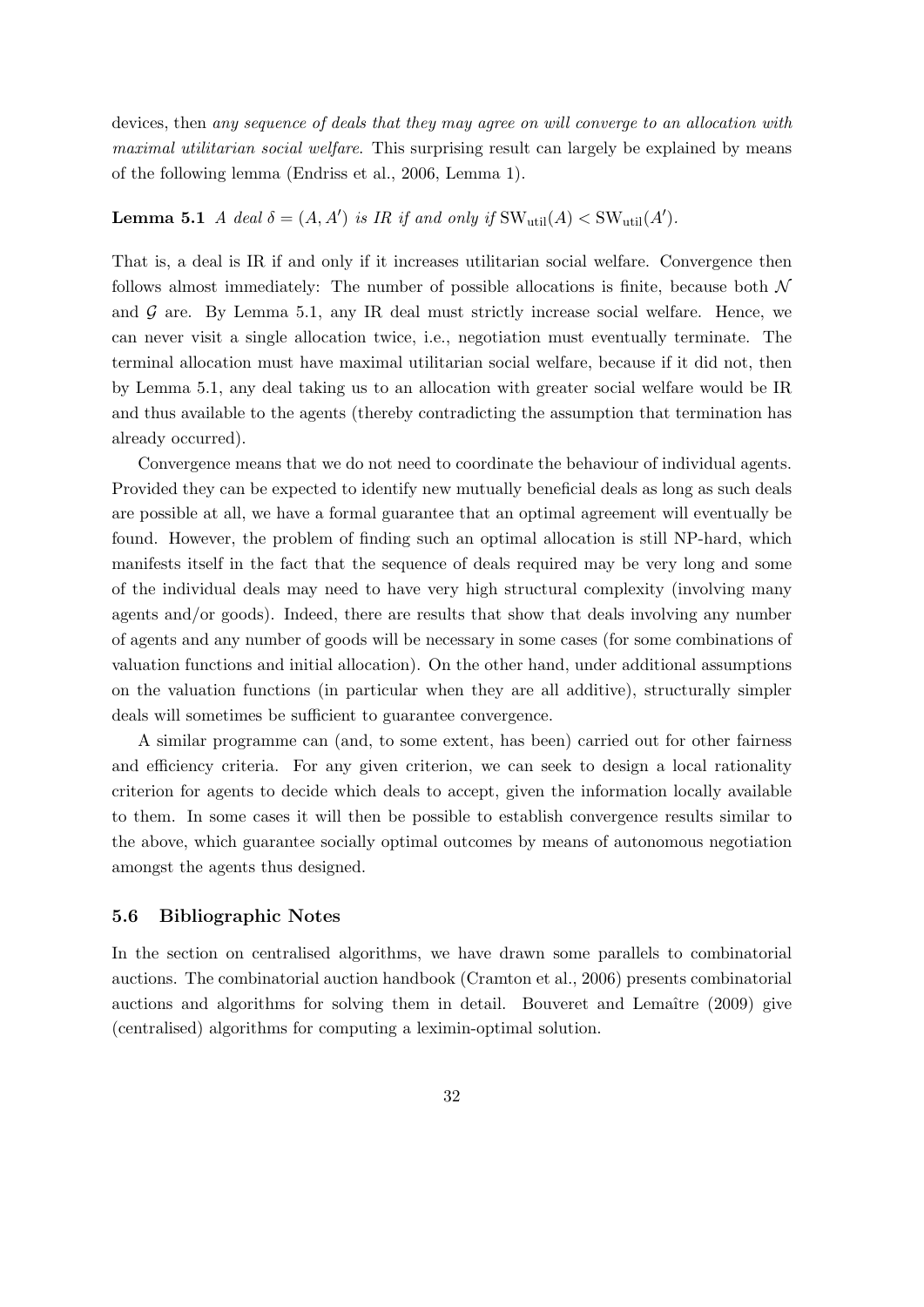devices, then any sequence of deals that they may agree on will converge to an allocation with maximal utilitarian social welfare. This surprising result can largely be explained by means of the following lemma (Endriss et al., 2006, Lemma 1).

# **Lemma 5.1** A deal  $\delta = (A, A')$  is IR if and only if  $SW_{util}(A) < SW_{util}(A')$ .

That is, a deal is IR if and only if it increases utilitarian social welfare. Convergence then follows almost immediately: The number of possible allocations is finite, because both  $\mathcal N$ and  $\mathcal G$  are. By Lemma 5.1, any IR deal must strictly increase social welfare. Hence, we can never visit a single allocation twice, i.e., negotiation must eventually terminate. The terminal allocation must have maximal utilitarian social welfare, because if it did not, then by Lemma 5.1, any deal taking us to an allocation with greater social welfare would be IR and thus available to the agents (thereby contradicting the assumption that termination has already occurred).

Convergence means that we do not need to coordinate the behaviour of individual agents. Provided they can be expected to identify new mutually beneficial deals as long as such deals are possible at all, we have a formal guarantee that an optimal agreement will eventually be found. However, the problem of finding such an optimal allocation is still NP-hard, which manifests itself in the fact that the sequence of deals required may be very long and some of the individual deals may need to have very high structural complexity (involving many agents and/or goods). Indeed, there are results that show that deals involving any number of agents and any number of goods will be necessary in some cases (for some combinations of valuation functions and initial allocation). On the other hand, under additional assumptions on the valuation functions (in particular when they are all additive), structurally simpler deals will sometimes be sufficient to guarantee convergence.

A similar programme can (and, to some extent, has been) carried out for other fairness and efficiency criteria. For any given criterion, we can seek to design a local rationality criterion for agents to decide which deals to accept, given the information locally available to them. In some cases it will then be possible to establish convergence results similar to the above, which guarantee socially optimal outcomes by means of autonomous negotiation amongst the agents thus designed.

#### 5.6 Bibliographic Notes

In the section on centralised algorithms, we have drawn some parallels to combinatorial auctions. The combinatorial auction handbook (Cramton et al., 2006) presents combinatorial auctions and algorithms for solving them in detail. Bouveret and Lemaître (2009) give (centralised) algorithms for computing a leximin-optimal solution.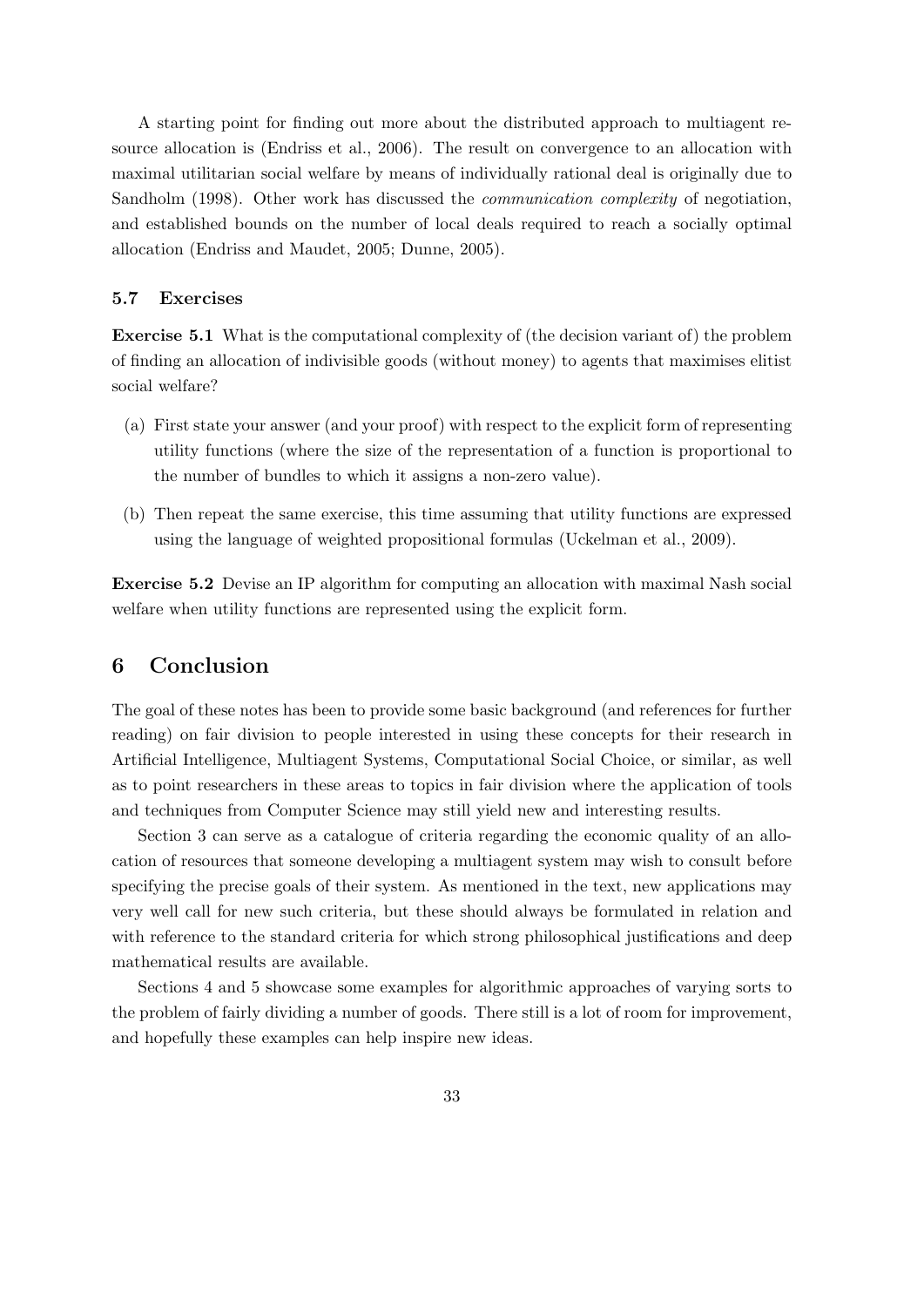A starting point for finding out more about the distributed approach to multiagent resource allocation is (Endriss et al., 2006). The result on convergence to an allocation with maximal utilitarian social welfare by means of individually rational deal is originally due to Sandholm (1998). Other work has discussed the communication complexity of negotiation, and established bounds on the number of local deals required to reach a socially optimal allocation (Endriss and Maudet, 2005; Dunne, 2005).

### 5.7 Exercises

Exercise 5.1 What is the computational complexity of (the decision variant of) the problem of finding an allocation of indivisible goods (without money) to agents that maximises elitist social welfare?

- (a) First state your answer (and your proof) with respect to the explicit form of representing utility functions (where the size of the representation of a function is proportional to the number of bundles to which it assigns a non-zero value).
- (b) Then repeat the same exercise, this time assuming that utility functions are expressed using the language of weighted propositional formulas (Uckelman et al., 2009).

Exercise 5.2 Devise an IP algorithm for computing an allocation with maximal Nash social welfare when utility functions are represented using the explicit form.

# 6 Conclusion

The goal of these notes has been to provide some basic background (and references for further reading) on fair division to people interested in using these concepts for their research in Artificial Intelligence, Multiagent Systems, Computational Social Choice, or similar, as well as to point researchers in these areas to topics in fair division where the application of tools and techniques from Computer Science may still yield new and interesting results.

Section 3 can serve as a catalogue of criteria regarding the economic quality of an allocation of resources that someone developing a multiagent system may wish to consult before specifying the precise goals of their system. As mentioned in the text, new applications may very well call for new such criteria, but these should always be formulated in relation and with reference to the standard criteria for which strong philosophical justifications and deep mathematical results are available.

Sections 4 and 5 showcase some examples for algorithmic approaches of varying sorts to the problem of fairly dividing a number of goods. There still is a lot of room for improvement, and hopefully these examples can help inspire new ideas.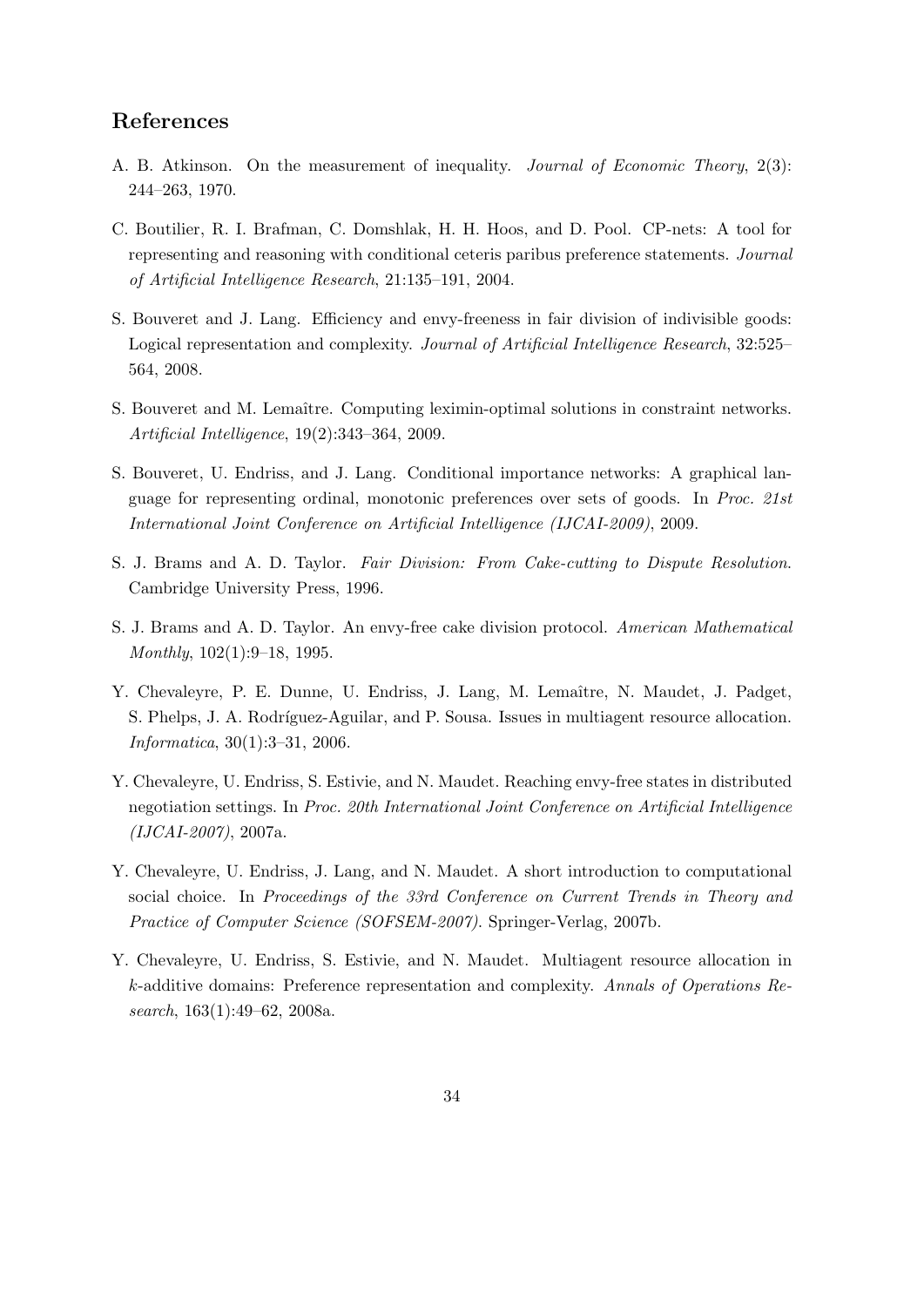# References

- A. B. Atkinson. On the measurement of inequality. Journal of Economic Theory, 2(3): 244–263, 1970.
- C. Boutilier, R. I. Brafman, C. Domshlak, H. H. Hoos, and D. Pool. CP-nets: A tool for representing and reasoning with conditional ceteris paribus preference statements. Journal of Artificial Intelligence Research, 21:135–191, 2004.
- S. Bouveret and J. Lang. Efficiency and envy-freeness in fair division of indivisible goods: Logical representation and complexity. Journal of Artificial Intelligence Research, 32:525– 564, 2008.
- S. Bouveret and M. Lemaître. Computing leximin-optimal solutions in constraint networks. Artificial Intelligence, 19(2):343–364, 2009.
- S. Bouveret, U. Endriss, and J. Lang. Conditional importance networks: A graphical language for representing ordinal, monotonic preferences over sets of goods. In Proc. 21st International Joint Conference on Artificial Intelligence (IJCAI-2009), 2009.
- S. J. Brams and A. D. Taylor. Fair Division: From Cake-cutting to Dispute Resolution. Cambridge University Press, 1996.
- S. J. Brams and A. D. Taylor. An envy-free cake division protocol. American Mathematical Monthly, 102(1):9–18, 1995.
- Y. Chevaleyre, P. E. Dunne, U. Endriss, J. Lang, M. Lemaître, N. Maudet, J. Padget, S. Phelps, J. A. Rodríguez-Aguilar, and P. Sousa. Issues in multiagent resource allocation. Informatica, 30(1):3–31, 2006.
- Y. Chevaleyre, U. Endriss, S. Estivie, and N. Maudet. Reaching envy-free states in distributed negotiation settings. In Proc. 20th International Joint Conference on Artificial Intelligence (IJCAI-2007), 2007a.
- Y. Chevaleyre, U. Endriss, J. Lang, and N. Maudet. A short introduction to computational social choice. In Proceedings of the 33rd Conference on Current Trends in Theory and Practice of Computer Science (SOFSEM-2007). Springer-Verlag, 2007b.
- Y. Chevaleyre, U. Endriss, S. Estivie, and N. Maudet. Multiagent resource allocation in k-additive domains: Preference representation and complexity. Annals of Operations Research, 163(1):49–62, 2008a.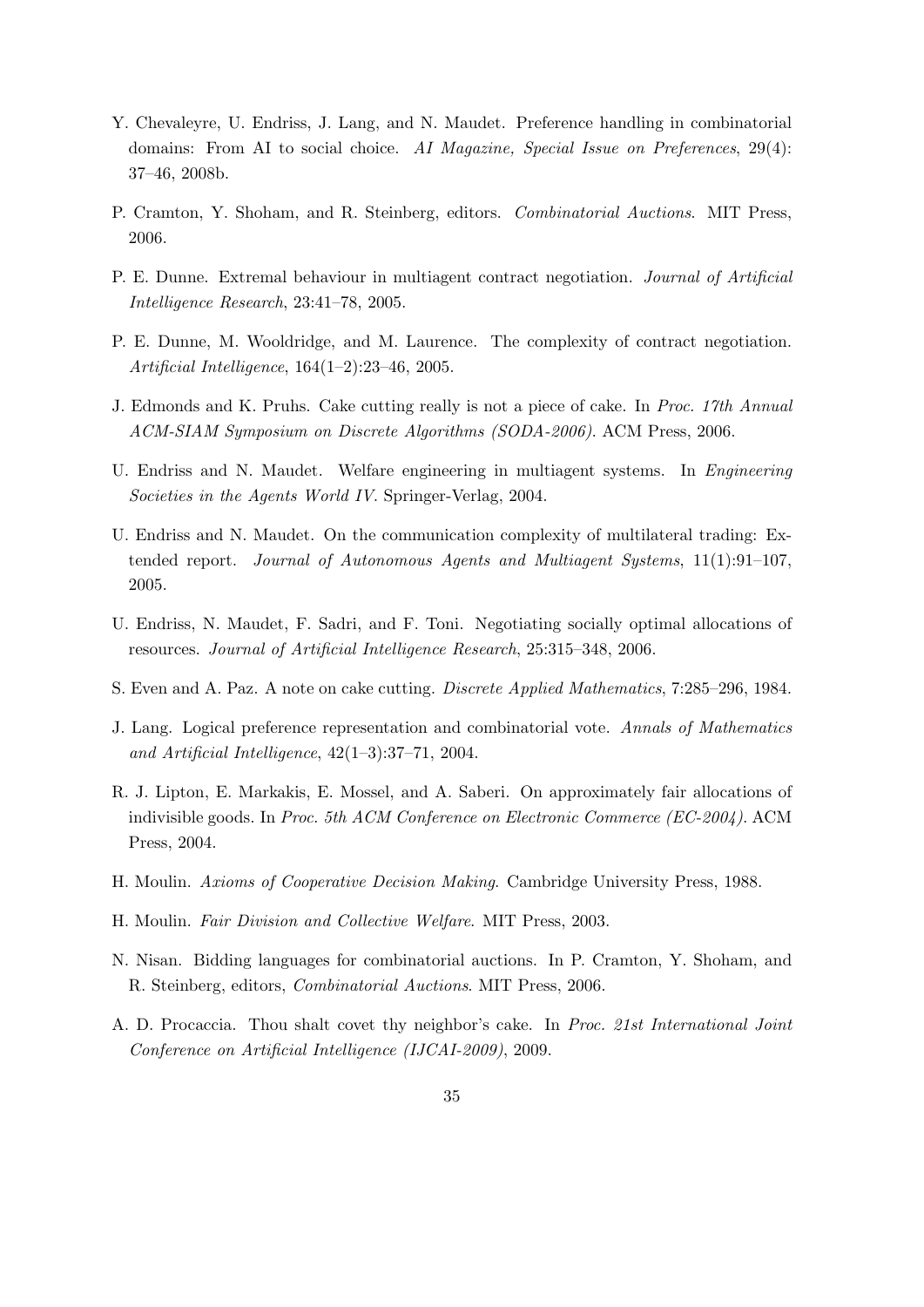- Y. Chevaleyre, U. Endriss, J. Lang, and N. Maudet. Preference handling in combinatorial domains: From AI to social choice. AI Magazine, Special Issue on Preferences, 29(4): 37–46, 2008b.
- P. Cramton, Y. Shoham, and R. Steinberg, editors. Combinatorial Auctions. MIT Press, 2006.
- P. E. Dunne. Extremal behaviour in multiagent contract negotiation. Journal of Artificial Intelligence Research, 23:41–78, 2005.
- P. E. Dunne, M. Wooldridge, and M. Laurence. The complexity of contract negotiation. Artificial Intelligence, 164(1–2):23–46, 2005.
- J. Edmonds and K. Pruhs. Cake cutting really is not a piece of cake. In Proc. 17th Annual ACM-SIAM Symposium on Discrete Algorithms (SODA-2006). ACM Press, 2006.
- U. Endriss and N. Maudet. Welfare engineering in multiagent systems. In Engineering Societies in the Agents World IV. Springer-Verlag, 2004.
- U. Endriss and N. Maudet. On the communication complexity of multilateral trading: Extended report. Journal of Autonomous Agents and Multiagent Systems, 11(1):91–107, 2005.
- U. Endriss, N. Maudet, F. Sadri, and F. Toni. Negotiating socially optimal allocations of resources. Journal of Artificial Intelligence Research, 25:315–348, 2006.
- S. Even and A. Paz. A note on cake cutting. Discrete Applied Mathematics, 7:285–296, 1984.
- J. Lang. Logical preference representation and combinatorial vote. Annals of Mathematics and Artificial Intelligence, 42(1–3):37–71, 2004.
- R. J. Lipton, E. Markakis, E. Mossel, and A. Saberi. On approximately fair allocations of indivisible goods. In Proc. 5th ACM Conference on Electronic Commerce (EC-2004). ACM Press, 2004.
- H. Moulin. Axioms of Cooperative Decision Making. Cambridge University Press, 1988.
- H. Moulin. Fair Division and Collective Welfare. MIT Press, 2003.
- N. Nisan. Bidding languages for combinatorial auctions. In P. Cramton, Y. Shoham, and R. Steinberg, editors, Combinatorial Auctions. MIT Press, 2006.
- A. D. Procaccia. Thou shalt covet thy neighbor's cake. In Proc. 21st International Joint Conference on Artificial Intelligence (IJCAI-2009), 2009.